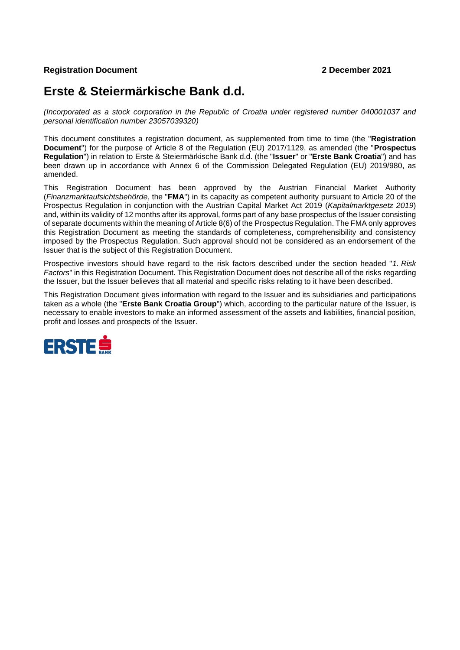## **Registration Document 2 December 2021**

# **Erste & Steiermärkische Bank d.d.**

*(Incorporated as a stock corporation in the Republic of Croatia under registered number 040001037 and personal identification number 23057039320)*

This document constitutes a registration document, as supplemented from time to time (the "**Registration Document**") for the purpose of Article 8 of the Regulation (EU) 2017/1129, as amended (the "**Prospectus Regulation**") in relation to Erste & Steiermärkische Bank d.d. (the "**Issuer**" or "**Erste Bank Croatia**") and has been drawn up in accordance with Annex 6 of the Commission Delegated Regulation (EU) 2019/980, as amended.

This Registration Document has been approved by the Austrian Financial Market Authority (*Finanzmarktaufsichtsbehörde*, the "**FMA**") in its capacity as competent authority pursuant to Article 20 of the Prospectus Regulation in conjunction with the Austrian Capital Market Act 2019 (*Kapitalmarktgesetz 2019*) and, within its validity of 12 months after its approval, forms part of any base prospectus of the Issuer consisting of separate documents within the meaning of Article 8(6) of the Prospectus Regulation. The FMA only approves this Registration Document as meeting the standards of completeness, comprehensibility and consistency imposed by the Prospectus Regulation. Such approval should not be considered as an endorsement of the Issuer that is the subject of this Registration Document.

Prospective investors should have regard to the risk factors described under the section headed "*1. Risk Factors*" in this Registration Document. This Registration Document does not describe all of the risks regarding the Issuer, but the Issuer believes that all material and specific risks relating to it have been described.

This Registration Document gives information with regard to the Issuer and its subsidiaries and participations taken as a whole (the "**Erste Bank Croatia Group**") which, according to the particular nature of the Issuer, is necessary to enable investors to make an informed assessment of the assets and liabilities, financial position, profit and losses and prospects of the Issuer.

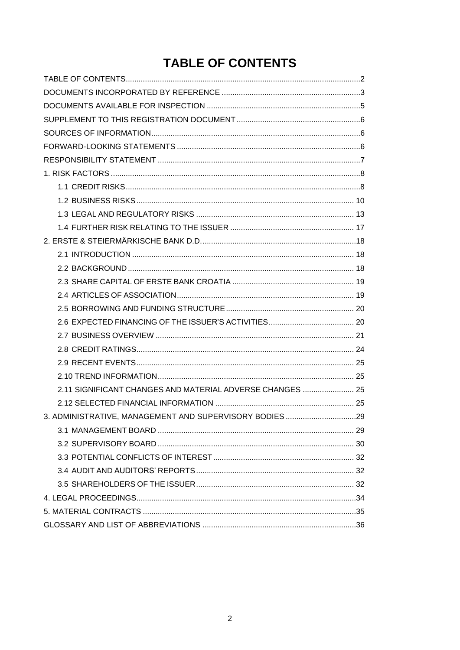# **TABLE OF CONTENTS**

<span id="page-1-0"></span>

| 2.11 SIGNIFICANT CHANGES AND MATERIAL ADVERSE CHANGES  25 |  |
|-----------------------------------------------------------|--|
|                                                           |  |
| 3. ADMINISTRATIVE, MANAGEMENT AND SUPERVISORY BODIES 29   |  |
|                                                           |  |
|                                                           |  |
|                                                           |  |
|                                                           |  |
|                                                           |  |
|                                                           |  |
|                                                           |  |
|                                                           |  |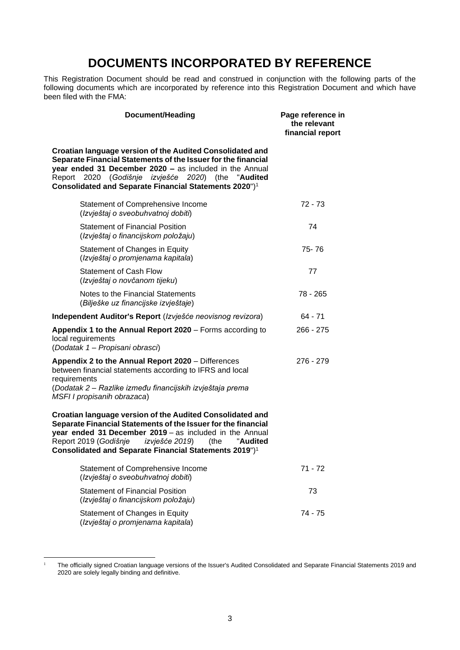# **DOCUMENTS INCORPORATED BY REFERENCE**

<span id="page-2-0"></span>This Registration Document should be read and construed in conjunction with the following parts of the following documents which are incorporated by reference into this Registration Document and which have been filed with the FMA:

| Document/Heading                                                                                                                                                                                                                                                                                                           | Page reference in<br>the relevant<br>financial report |
|----------------------------------------------------------------------------------------------------------------------------------------------------------------------------------------------------------------------------------------------------------------------------------------------------------------------------|-------------------------------------------------------|
| Croatian language version of the Audited Consolidated and<br>Separate Financial Statements of the Issuer for the financial<br>year ended 31 December 2020 - as included in the Annual<br>2020 (Godišnje izvješće 2020) (the<br>Report<br>"Audited<br>Consolidated and Separate Financial Statements 2020") <sup>1</sup>    |                                                       |
| Statement of Comprehensive Income<br>(Izvještaj o sveobuhvatnoj dobiti)                                                                                                                                                                                                                                                    | $72 - 73$                                             |
| <b>Statement of Financial Position</b><br>(Izvještaj o financijskom položaju)                                                                                                                                                                                                                                              | 74                                                    |
| Statement of Changes in Equity<br>(Izvještaj o promjenama kapitala)                                                                                                                                                                                                                                                        | 75-76                                                 |
| <b>Statement of Cash Flow</b><br>(Izvještaj o novčanom tijeku)                                                                                                                                                                                                                                                             | 77                                                    |
| Notes to the Financial Statements<br>(Bilješke uz financijske izvještaje)                                                                                                                                                                                                                                                  | 78 - 265                                              |
| Independent Auditor's Report (Izvješće neovisnog revizora)                                                                                                                                                                                                                                                                 | 64 - 71                                               |
| Appendix 1 to the Annual Report 2020 - Forms according to<br>local reguirements<br>(Dodatak 1 - Propisani obrasci)                                                                                                                                                                                                         | $266 - 275$                                           |
| Appendix 2 to the Annual Report 2020 - Differences<br>between financial statements according to IFRS and local<br>requirements<br>(Dodatak 2 – Razlike između financijskih izvještaja prema<br>MSFI I propisanih obrazaca)                                                                                                 | $276 - 279$                                           |
| Croatian language version of the Audited Consolidated and<br>Separate Financial Statements of the Issuer for the financial<br>year ended 31 December 2019 - as included in the Annual<br>Report 2019 (Godišnje<br>izvješće 2019)<br>(the<br>"Audited<br>Consolidated and Separate Financial Statements 2019") <sup>1</sup> |                                                       |
| Statement of Comprehensive Income<br>(Izvještaj o sveobuhvatnoj dobiti)                                                                                                                                                                                                                                                    | $71 - 72$                                             |
| <b>Statement of Financial Position</b><br>(Izvještaj o financijskom položaju)                                                                                                                                                                                                                                              | 73                                                    |
| Statement of Changes in Equity                                                                                                                                                                                                                                                                                             | 74 - 75                                               |

(*Izvještaj o promjenama kapitala*)

<sup>&</sup>lt;sup>1</sup> The officially signed Croatian language versions of the Issuer's Audited Consolidated and Separate Financial Statements 2019 and 2020 are solely legally binding and definitive.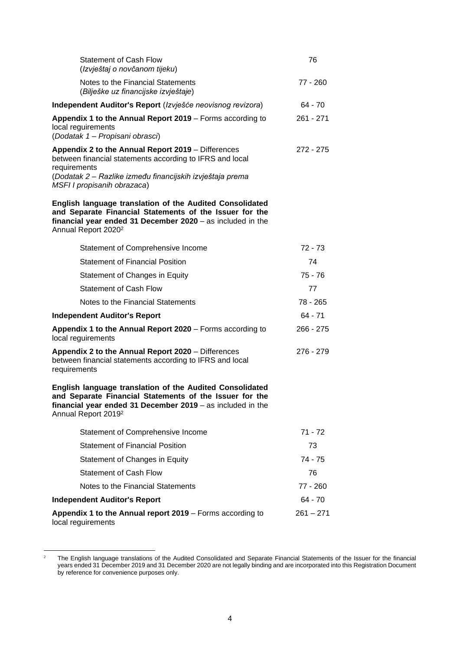| <b>Statement of Cash Flow</b><br>(Izvještaj o novčanom tijeku)                                                                                                                                                              | 76          |
|-----------------------------------------------------------------------------------------------------------------------------------------------------------------------------------------------------------------------------|-------------|
| Notes to the Financial Statements<br>(Bilješke uz financijske izvještaje)                                                                                                                                                   | 77 - 260    |
| Independent Auditor's Report (Izvješće neovisnog revizora)                                                                                                                                                                  | 64 - 70     |
| Appendix 1 to the Annual Report 2019 – Forms according to<br>local reguirements<br>(Dodatak 1 – Propisani obrasci)                                                                                                          | 261 - 271   |
| Appendix 2 to the Annual Report 2019 - Differences<br>between financial statements according to IFRS and local<br>requirements<br>(Dodatak 2 – Razlike između financijskih izvještaja prema<br>MSFI I propisanih obrazaca)  | 272 - 275   |
| English language translation of the Audited Consolidated<br>and Separate Financial Statements of the Issuer for the<br>financial year ended 31 December 2020 - as included in the<br>Annual Report 2020 <sup>2</sup>        |             |
| Statement of Comprehensive Income                                                                                                                                                                                           | 72 - 73     |
| <b>Statement of Financial Position</b>                                                                                                                                                                                      | 74          |
| Statement of Changes in Equity                                                                                                                                                                                              | $75 - 76$   |
| <b>Statement of Cash Flow</b>                                                                                                                                                                                               | 77          |
| Notes to the Financial Statements                                                                                                                                                                                           | 78 - 265    |
| <b>Independent Auditor's Report</b>                                                                                                                                                                                         | 64 - 71     |
| Appendix 1 to the Annual Report 2020 - Forms according to<br>local reguirements                                                                                                                                             | 266 - 275   |
| Appendix 2 to the Annual Report 2020 - Differences<br>between financial statements according to IFRS and local<br>requirements                                                                                              | 276 - 279   |
| <b>English language translation of the Audited Consolidated</b><br>and Separate Financial Statements of the Issuer for the<br>financial year ended 31 December 2019 - as included in the<br>Annual Report 2019 <sup>2</sup> |             |
| Statement of Comprehensive Income                                                                                                                                                                                           | 71 - 72     |
| <b>Statement of Financial Position</b>                                                                                                                                                                                      | 73          |
| Statement of Changes in Equity                                                                                                                                                                                              | 74 - 75     |
| <b>Statement of Cash Flow</b>                                                                                                                                                                                               | 76          |
| Notes to the Financial Statements                                                                                                                                                                                           | 77 - 260    |
| <b>Independent Auditor's Report</b>                                                                                                                                                                                         | 64 - 70     |
| Appendix 1 to the Annual report 2019 – Forms according to<br>local reguirements                                                                                                                                             | $261 - 271$ |

<sup>&</sup>lt;sup>2</sup> The English language translations of the Audited Consolidated and Separate Financial Statements of the Issuer for the financial years ended 31 December 2019 and 31 December 2020 are not legally binding and are incorporated into this Registration Document by reference for convenience purposes only.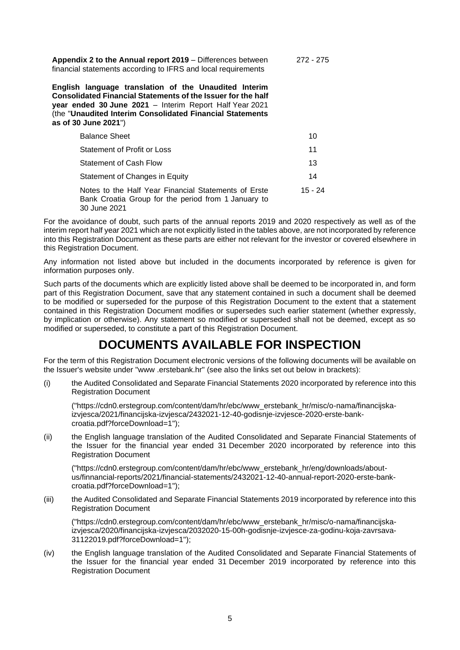**Appendix 2 to the Annual report 2019** – Differences between financial statements according to IFRS and local requirements 272 - 275

**English language translation of the Unaudited Interim Consolidated Financial Statements of the Issuer for the half year ended 30 June 2021** – Interim Report Half Year 2021 (the "**Unaudited Interim Consolidated Financial Statements as of 30 June 2021**")

| <b>Balance Sheet</b>                                                                                                        | 10      |
|-----------------------------------------------------------------------------------------------------------------------------|---------|
| Statement of Profit or Loss                                                                                                 | 11      |
| <b>Statement of Cash Flow</b>                                                                                               | 13      |
| Statement of Changes in Equity                                                                                              | 14      |
| Notes to the Half Year Financial Statements of Erste<br>Bank Croatia Group for the period from 1 January to<br>30 June 2021 | 15 - 24 |

For the avoidance of doubt, such parts of the annual reports 2019 and 2020 respectively as well as of the interim report half year 2021 which are not explicitly listed in the tables above, are not incorporated by reference into this Registration Document as these parts are either not relevant for the investor or covered elsewhere in this Registration Document.

Any information not listed above but included in the documents incorporated by reference is given for information purposes only.

Such parts of the documents which are explicitly listed above shall be deemed to be incorporated in, and form part of this Registration Document, save that any statement contained in such a document shall be deemed to be modified or superseded for the purpose of this Registration Document to the extent that a statement contained in this Registration Document modifies or supersedes such earlier statement (whether expressly, by implication or otherwise). Any statement so modified or superseded shall not be deemed, except as so modified or superseded, to constitute a part of this Registration Document.

## **DOCUMENTS AVAILABLE FOR INSPECTION**

<span id="page-4-0"></span>For the term of this Registration Document electronic versions of the following documents will be available on the Issuer's website under "www .erstebank.hr" (see also the links set out below in brackets):

(i) the Audited Consolidated and Separate Financial Statements 2020 incorporated by reference into this Registration Document

("https://cdn0.erstegroup.com/content/dam/hr/ebc/www\_erstebank\_hr/misc/o-nama/financijskaizvjesca/2021/financijska-izvjesca/2432021-12-40-godisnje-izvjesce-2020-erste-bankcroatia.pdf?forceDownload=1");

(ii) the English language translation of the Audited Consolidated and Separate Financial Statements of the Issuer for the financial year ended 31 December 2020 incorporated by reference into this Registration Document

("https://cdn0.erstegroup.com/content/dam/hr/ebc/www\_erstebank\_hr/eng/downloads/aboutus/finnancial-reports/2021/financial-statements/2432021-12-40-annual-report-2020-erste-bankcroatia.pdf?forceDownload=1");

(iii) the Audited Consolidated and Separate Financial Statements 2019 incorporated by reference into this Registration Document

("https://cdn0.erstegroup.com/content/dam/hr/ebc/www\_erstebank\_hr/misc/o-nama/financijskaizvjesca/2020/financijska-izvjesca/2032020-15-00h-godisnje-izvjesce-za-godinu-koja-zavrsava-31122019.pdf?forceDownload=1");

(iv) the English language translation of the Audited Consolidated and Separate Financial Statements of the Issuer for the financial year ended 31 December 2019 incorporated by reference into this Registration Document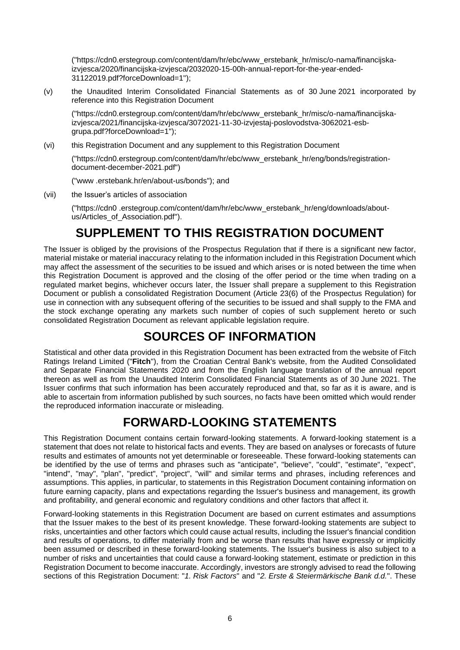("https://cdn0.erstegroup.com/content/dam/hr/ebc/www\_erstebank\_hr/misc/o-nama/financijskaizvjesca/2020/financijska-izvjesca/2032020-15-00h-annual-report-for-the-year-ended-31122019.pdf?forceDownload=1");

(v) the Unaudited Interim Consolidated Financial Statements as of 30 June 2021 incorporated by reference into this Registration Document

("https://cdn0.erstegroup.com/content/dam/hr/ebc/www\_erstebank\_hr/misc/o-nama/financijskaizvjesca/2021/financijska-izvjesca/3072021-11-30-izvjestaj-poslovodstva-3062021-esbgrupa.pdf?forceDownload=1");

(vi) this Registration Document and any supplement to this Registration Document

("https://cdn0.erstegroup.com/content/dam/hr/ebc/www\_erstebank\_hr/eng/bonds/registrationdocument-december-2021.pdf")

("www .erstebank.hr/en/about-us/bonds"); and

(vii) the Issuer's articles of association

("https://cdn0 .erstegroup.com/content/dam/hr/ebc/www\_erstebank\_hr/eng/downloads/aboutus/Articles\_of\_Association.pdf").

# **SUPPLEMENT TO THIS REGISTRATION DOCUMENT**

<span id="page-5-0"></span>The Issuer is obliged by the provisions of the Prospectus Regulation that if there is a significant new factor, material mistake or material inaccuracy relating to the information included in this Registration Document which may affect the assessment of the securities to be issued and which arises or is noted between the time when this Registration Document is approved and the closing of the offer period or the time when trading on a regulated market begins, whichever occurs later, the Issuer shall prepare a supplement to this Registration Document or publish a consolidated Registration Document (Article 23(6) of the Prospectus Regulation) for use in connection with any subsequent offering of the securities to be issued and shall supply to the FMA and the stock exchange operating any markets such number of copies of such supplement hereto or such consolidated Registration Document as relevant applicable legislation require.

# **SOURCES OF INFORMATION**

<span id="page-5-1"></span>Statistical and other data provided in this Registration Document has been extracted from the website of Fitch Ratings Ireland Limited ("**Fitch**"), from the Croatian Central Bank's website, from the Audited Consolidated and Separate Financial Statements 2020 and from the English language translation of the annual report thereon as well as from the Unaudited Interim Consolidated Financial Statements as of 30 June 2021. The Issuer confirms that such information has been accurately reproduced and that, so far as it is aware, and is able to ascertain from information published by such sources, no facts have been omitted which would render the reproduced information inaccurate or misleading.

# **FORWARD-LOOKING STATEMENTS**

<span id="page-5-2"></span>This Registration Document contains certain forward-looking statements. A forward-looking statement is a statement that does not relate to historical facts and events. They are based on analyses or forecasts of future results and estimates of amounts not yet determinable or foreseeable. These forward-looking statements can be identified by the use of terms and phrases such as "anticipate", "believe", "could", "estimate", "expect", "intend", "may", "plan", "predict", "project", "will" and similar terms and phrases, including references and assumptions. This applies, in particular, to statements in this Registration Document containing information on future earning capacity, plans and expectations regarding the Issuer's business and management, its growth and profitability, and general economic and regulatory conditions and other factors that affect it.

Forward-looking statements in this Registration Document are based on current estimates and assumptions that the Issuer makes to the best of its present knowledge. These forward-looking statements are subject to risks, uncertainties and other factors which could cause actual results, including the Issuer's financial condition and results of operations, to differ materially from and be worse than results that have expressly or implicitly been assumed or described in these forward-looking statements. The Issuer's business is also subject to a number of risks and uncertainties that could cause a forward-looking statement, estimate or prediction in this Registration Document to become inaccurate. Accordingly, investors are strongly advised to read the following sections of this Registration Document: "*1. Risk Factors*" and "*2. Erste & Steiermärkische Bank d.d.*". These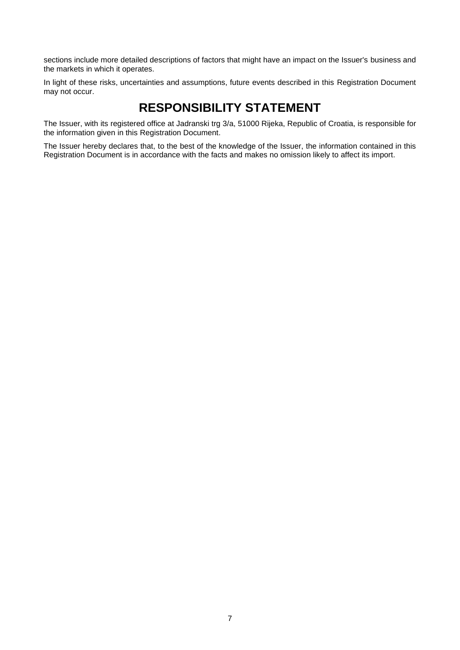sections include more detailed descriptions of factors that might have an impact on the Issuer's business and the markets in which it operates.

In light of these risks, uncertainties and assumptions, future events described in this Registration Document may not occur.

# **RESPONSIBILITY STATEMENT**

<span id="page-6-0"></span>The Issuer, with its registered office at Jadranski trg 3/a, 51000 Rijeka, Republic of Croatia, is responsible for the information given in this Registration Document.

The Issuer hereby declares that, to the best of the knowledge of the Issuer, the information contained in this Registration Document is in accordance with the facts and makes no omission likely to affect its import.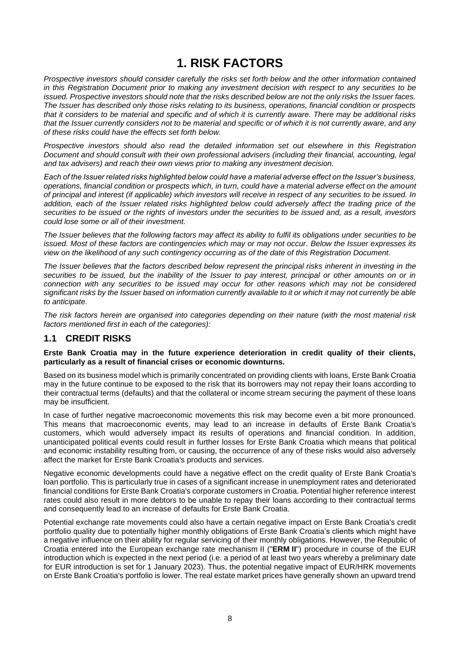# **1. RISK FACTORS**

<span id="page-7-0"></span>*Prospective investors should consider carefully the risks set forth below and the other information contained in this Registration Document prior to making any investment decision with respect to any securities to be issued. Prospective investors should note that the risks described below are not the only risks the Issuer faces. The Issuer has described only those risks relating to its business, operations, financial condition or prospects that it considers to be material and specific and of which it is currently aware. There may be additional risks that the Issuer currently considers not to be material and specific or of which it is not currently aware, and any of these risks could have the effects set forth below.*

*Prospective investors should also read the detailed information set out elsewhere in this Registration Document and should consult with their own professional advisers (including their financial, accounting, legal and tax advisers) and reach their own views prior to making any investment decision.*

*Each of the Issuer related risks highlighted below could have a material adverse effect on the Issuer's business, operations, financial condition or prospects which, in turn, could have a material adverse effect on the amount of principal and interest (if applicable) which investors will receive in respect of any securities to be issued. In addition, each of the Issuer related risks highlighted below could adversely affect the trading price of the securities to be issued or the rights of investors under the securities to be issued and, as a result, investors could lose some or all of their investment.*

*The Issuer believes that the following factors may affect its ability to fulfil its obligations under securities to be issued. Most of these factors are contingencies which may or may not occur. Below the Issuer expresses its view on the likelihood of any such contingency occurring as of the date of this Registration Document.*

*The Issuer believes that the factors described below represent the principal risks inherent in investing in the securities to be issued, but the inability of the Issuer to pay interest, principal or other amounts on or in connection with any securities to be issued may occur for other reasons which may not be considered significant risks by the Issuer based on information currently available to it or which it may not currently be able to anticipate.*

*The risk factors herein are organised into categories depending on their nature (with the most material risk factors mentioned first in each of the categories):*

## <span id="page-7-1"></span>**1.1 CREDIT RISKS**

### **Erste Bank Croatia may in the future experience deterioration in credit quality of their clients, particularly as a result of financial crises or economic downturns.**

Based on its business model which is primarily concentrated on providing clients with loans, Erste Bank Croatia may in the future continue to be exposed to the risk that its borrowers may not repay their loans according to their contractual terms (defaults) and that the collateral or income stream securing the payment of these loans may be insufficient.

In case of further negative macroeconomic movements this risk may become even a bit more pronounced. This means that macroeconomic events, may lead to an increase in defaults of Erste Bank Croatia's customers, which would adversely impact its results of operations and financial condition. In addition, unanticipated political events could result in further losses for Erste Bank Croatia which means that political and economic instability resulting from, or causing, the occurrence of any of these risks would also adversely affect the market for Erste Bank Croatia's products and services.

Negative economic developments could have a negative effect on the credit quality of Erste Bank Croatia's loan portfolio. This is particularly true in cases of a significant increase in unemployment rates and deteriorated financial conditions for Erste Bank Croatia's corporate customers in Croatia. Potential higher reference interest rates could also result in more debtors to be unable to repay their loans according to their contractual terms and consequently lead to an increase of defaults for Erste Bank Croatia.

Potential exchange rate movements could also have a certain negative impact on Erste Bank Croatia's credit portfolio quality due to potentially higher monthly obligations of Erste Bank Croatia's clients which might have a negative influence on their ability for regular servicing of their monthly obligations. However, the Republic of Croatia entered into the European exchange rate mechanism II ("**ERM II**") procedure in course of the EUR introduction which is expected in the next period (i.e. a period of at least two years whereby a preliminary date for EUR introduction is set for 1 January 2023). Thus, the potential negative impact of EUR/HRK movements on Erste Bank Croatia's portfolio is lower. The real estate market prices have generally shown an upward trend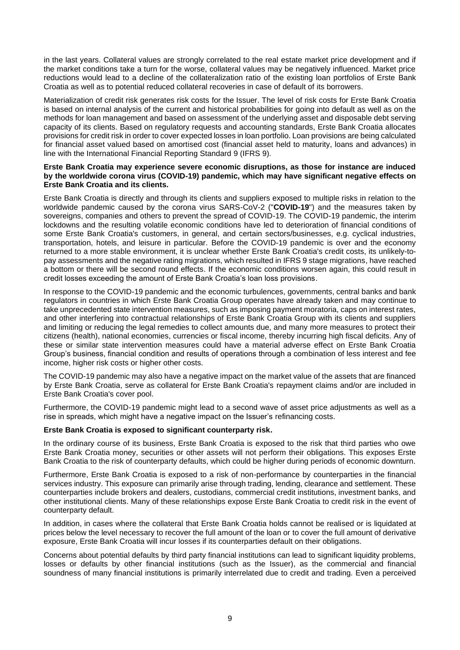in the last years. Collateral values are strongly correlated to the real estate market price development and if the market conditions take a turn for the worse, collateral values may be negatively influenced. Market price reductions would lead to a decline of the collateralization ratio of the existing loan portfolios of Erste Bank Croatia as well as to potential reduced collateral recoveries in case of default of its borrowers.

Materialization of credit risk generates risk costs for the Issuer. The level of risk costs for Erste Bank Croatia is based on internal analysis of the current and historical probabilities for going into default as well as on the methods for loan management and based on assessment of the underlying asset and disposable debt serving capacity of its clients. Based on regulatory requests and accounting standards, Erste Bank Croatia allocates provisions for credit risk in order to cover expected losses in loan portfolio. Loan provisions are being calculated for financial asset valued based on amortised cost (financial asset held to maturity, loans and advances) in line with the International Financial Reporting Standard 9 (IFRS 9).

#### **Erste Bank Croatia may experience severe economic disruptions, as those for instance are induced by the worldwide corona virus (COVID-19) pandemic, which may have significant negative effects on Erste Bank Croatia and its clients.**

Erste Bank Croatia is directly and through its clients and suppliers exposed to multiple risks in relation to the worldwide pandemic caused by the corona virus SARS-CoV-2 ("**COVID-19**") and the measures taken by sovereigns, companies and others to prevent the spread of COVID-19. The COVID-19 pandemic, the interim lockdowns and the resulting volatile economic conditions have led to deterioration of financial conditions of some Erste Bank Croatia's customers, in general, and certain sectors/businesses, e.g. cyclical industries, transportation, hotels, and leisure in particular. Before the COVID-19 pandemic is over and the economy returned to a more stable environment, it is unclear whether Erste Bank Croatia's credit costs, its unlikely-topay assessments and the negative rating migrations, which resulted in IFRS 9 stage migrations, have reached a bottom or there will be second round effects. If the economic conditions worsen again, this could result in credit losses exceeding the amount of Erste Bank Croatia's loan loss provisions.

In response to the COVID-19 pandemic and the economic turbulences, governments, central banks and bank regulators in countries in which Erste Bank Croatia Group operates have already taken and may continue to take unprecedented state intervention measures, such as imposing payment moratoria, caps on interest rates, and other interfering into contractual relationships of Erste Bank Croatia Group with its clients and suppliers and limiting or reducing the legal remedies to collect amounts due, and many more measures to protect their citizens (health), national economies, currencies or fiscal income, thereby incurring high fiscal deficits. Any of these or similar state intervention measures could have a material adverse effect on Erste Bank Croatia Group's business, financial condition and results of operations through a combination of less interest and fee income, higher risk costs or higher other costs.

The COVID-19 pandemic may also have a negative impact on the market value of the assets that are financed by Erste Bank Croatia, serve as collateral for Erste Bank Croatia's repayment claims and/or are included in Erste Bank Croatia's cover pool.

Furthermore, the COVID-19 pandemic might lead to a second wave of asset price adjustments as well as a rise in spreads, which might have a negative impact on the Issuer's refinancing costs.

### **Erste Bank Croatia is exposed to significant counterparty risk.**

In the ordinary course of its business, Erste Bank Croatia is exposed to the risk that third parties who owe Erste Bank Croatia money, securities or other assets will not perform their obligations. This exposes Erste Bank Croatia to the risk of counterparty defaults, which could be higher during periods of economic downturn.

Furthermore, Erste Bank Croatia is exposed to a risk of non-performance by counterparties in the financial services industry. This exposure can primarily arise through trading, lending, clearance and settlement. These counterparties include brokers and dealers, custodians, commercial credit institutions, investment banks, and other institutional clients. Many of these relationships expose Erste Bank Croatia to credit risk in the event of counterparty default.

In addition, in cases where the collateral that Erste Bank Croatia holds cannot be realised or is liquidated at prices below the level necessary to recover the full amount of the loan or to cover the full amount of derivative exposure, Erste Bank Croatia will incur losses if its counterparties default on their obligations.

Concerns about potential defaults by third party financial institutions can lead to significant liquidity problems, losses or defaults by other financial institutions (such as the Issuer), as the commercial and financial soundness of many financial institutions is primarily interrelated due to credit and trading. Even a perceived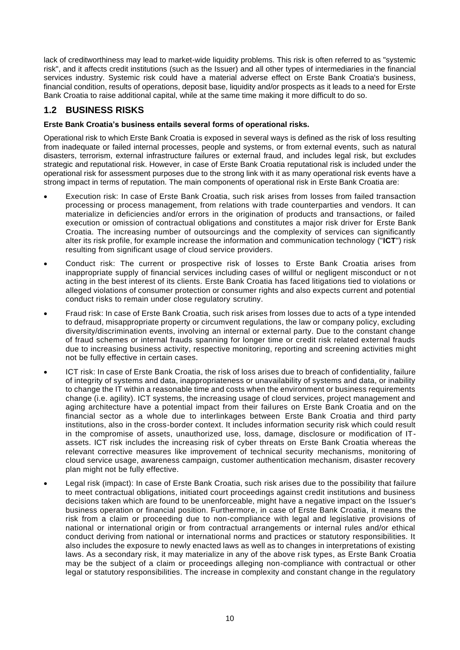lack of creditworthiness may lead to market-wide liquidity problems. This risk is often referred to as "systemic risk", and it affects credit institutions (such as the Issuer) and all other types of intermediaries in the financial services industry. Systemic risk could have a material adverse effect on Erste Bank Croatia's business, financial condition, results of operations, deposit base, liquidity and/or prospects as it leads to a need for Erste Bank Croatia to raise additional capital, while at the same time making it more difficult to do so.

## <span id="page-9-0"></span>**1.2 BUSINESS RISKS**

## **Erste Bank Croatia's business entails several forms of operational risks.**

Operational risk to which Erste Bank Croatia is exposed in several ways is defined as the risk of loss resulting from inadequate or failed internal processes, people and systems, or from external events, such as natural disasters, terrorism, external infrastructure failures or external fraud, and includes legal risk, but excludes strategic and reputational risk. However, in case of Erste Bank Croatia reputational risk is included under the operational risk for assessment purposes due to the strong link with it as many operational risk events have a strong impact in terms of reputation. The main components of operational risk in Erste Bank Croatia are:

- Execution risk: In case of Erste Bank Croatia, such risk arises from losses from failed transaction processing or process management, from relations with trade counterparties and vendors. It can materialize in deficiencies and/or errors in the origination of products and transactions, or failed execution or omission of contractual obligations and constitutes a major risk driver for Erste Bank Croatia. The increasing number of outsourcings and the complexity of services can significantly alter its risk profile, for example increase the information and communication technology ("**ICT**") risk resulting from significant usage of cloud service providers.
- Conduct risk: The current or prospective risk of losses to Erste Bank Croatia arises from inappropriate supply of financial services including cases of willful or negligent misconduct or n ot acting in the best interest of its clients. Erste Bank Croatia has faced litigations tied to violations or alleged violations of consumer protection or consumer rights and also expects current and potential conduct risks to remain under close regulatory scrutiny.
- Fraud risk: In case of Erste Bank Croatia, such risk arises from losses due to acts of a type intended to defraud, misappropriate property or circumvent regulations, the law or company policy, excluding diversity/discrimination events, involving an internal or external party. Due to the constant change of fraud schemes or internal frauds spanning for longer time or credit risk related external frauds due to increasing business activity, respective monitoring, reporting and screening activities mi ght not be fully effective in certain cases.
- ICT risk: In case of Erste Bank Croatia, the risk of loss arises due to breach of confidentiality, failure of integrity of systems and data, inappropriateness or unavailability of systems and data, or inability to change the IT within a reasonable time and costs when the environment or business requirements change (i.e. agility). ICT systems, the increasing usage of cloud services, project management and aging architecture have a potential impact from their failures on Erste Bank Croatia and on the financial sector as a whole due to interlinkages between Erste Bank Croatia and third party institutions, also in the cross-border context. It includes information security risk which could result in the compromise of assets, unauthorized use, loss, damage, disclosure or modification of ITassets. ICT risk includes the increasing risk of cyber threats on Erste Bank Croatia whereas the relevant corrective measures like improvement of technical security mechanisms, monitoring of cloud service usage, awareness campaign, customer authentication mechanism, disaster recovery plan might not be fully effective.
- Legal risk (impact): In case of Erste Bank Croatia, such risk arises due to the possibility that failure to meet contractual obligations, initiated court proceedings against credit institutions and business decisions taken which are found to be unenforceable, might have a negative impact on the Issuer's business operation or financial position. Furthermore, in case of Erste Bank Croatia, it means the risk from a claim or proceeding due to non-compliance with legal and legislative provisions of national or international origin or from contractual arrangements or internal rules and/or ethical conduct deriving from national or international norms and practices or statutory responsibilities. It also includes the exposure to newly enacted laws as well as to changes in interpretations of existing laws. As a secondary risk, it may materialize in any of the above risk types, as Erste Bank Croatia may be the subject of a claim or proceedings alleging non-compliance with contractual or other legal or statutory responsibilities. The increase in complexity and constant change in the regulatory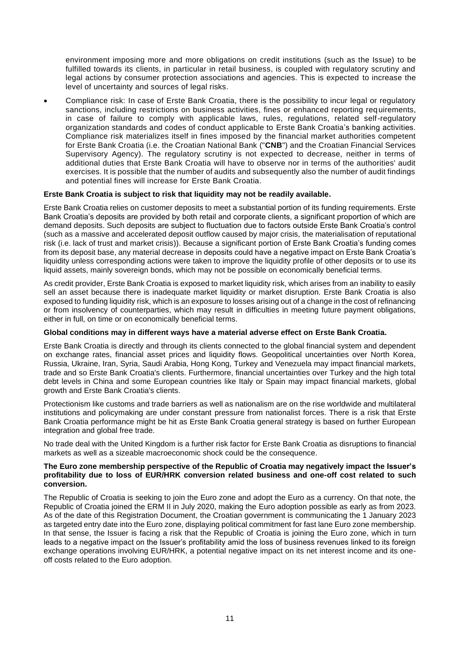environment imposing more and more obligations on credit institutions (such as the Issue) to be fulfilled towards its clients, in particular in retail business, is coupled with regulatory scrutiny and legal actions by consumer protection associations and agencies. This is expected to increase the level of uncertainty and sources of legal risks.

• Compliance risk: In case of Erste Bank Croatia, there is the possibility to incur legal or regulatory sanctions, including restrictions on business activities, fines or enhanced reporting req uirements, in case of failure to comply with applicable laws, rules, regulations, related self-regulatory organization standards and codes of conduct applicable to Erste Bank Croatia's banking activities. Compliance risk materializes itself in fines imposed by the financial market authorities competent for Erste Bank Croatia (i.e. the Croatian National Bank ("**CNB**") and the Croatian Financial Services Supervisory Agency). The regulatory scrutiny is not expected to decrease, neither in terms of additional duties that Erste Bank Croatia will have to observe nor in terms of the authorities' audit exercises. It is possible that the number of audits and subsequently also the number of audit findings and potential fines will increase for Erste Bank Croatia.

### **Erste Bank Croatia is subject to risk that liquidity may not be readily available.**

Erste Bank Croatia relies on customer deposits to meet a substantial portion of its funding requirements. Erste Bank Croatia's deposits are provided by both retail and corporate clients, a significant proportion of which are demand deposits. Such deposits are subject to fluctuation due to factors outside Erste Bank Croatia's control (such as a massive and accelerated deposit outflow caused by major crisis, the materialisation of reputational risk (i.e. lack of trust and market crisis)). Because a significant portion of Erste Bank Croatia's funding comes from its deposit base, any material decrease in deposits could have a negative impact on Erste Bank Croatia's liquidity unless corresponding actions were taken to improve the liquidity profile of other deposits or to use its liquid assets, mainly sovereign bonds, which may not be possible on economically beneficial terms.

As credit provider, Erste Bank Croatia is exposed to market liquidity risk, which arises from an inability to easily sell an asset because there is inadequate market liquidity or market disruption. Erste Bank Croatia is also exposed to funding liquidity risk, which is an exposure to losses arising out of a change in the cost of refinancing or from insolvency of counterparties, which may result in difficulties in meeting future payment obligations, either in full, on time or on economically beneficial terms.

### **Global conditions may in different ways have a material adverse effect on Erste Bank Croatia.**

Erste Bank Croatia is directly and through its clients connected to the global financial system and dependent on exchange rates, financial asset prices and liquidity flows. Geopolitical uncertainties over North Korea, Russia, Ukraine, Iran, Syria, Saudi Arabia, Hong Kong, Turkey and Venezuela may impact financial markets, trade and so Erste Bank Croatia's clients. Furthermore, financial uncertainties over Turkey and the high total debt levels in China and some European countries like Italy or Spain may impact financial markets, global growth and Erste Bank Croatia's clients.

Protectionism like customs and trade barriers as well as nationalism are on the rise worldwide and multilateral institutions and policymaking are under constant pressure from nationalist forces. There is a risk that Erste Bank Croatia performance might be hit as Erste Bank Croatia general strategy is based on further European integration and global free trade.

No trade deal with the United Kingdom is a further risk factor for Erste Bank Croatia as disruptions to financial markets as well as a sizeable macroeconomic shock could be the consequence.

### **The Euro zone membership perspective of the Republic of Croatia may negatively impact the Issuer's profitability due to loss of EUR/HRK conversion related business and one-off cost related to such conversion.**

The Republic of Croatia is seeking to join the Euro zone and adopt the Euro as a currency. On that note, the Republic of Croatia joined the ERM II in July 2020, making the Euro adoption possible as early as from 2023. As of the date of this Registration Document, the Croatian government is communicating the 1 January 2023 as targeted entry date into the Euro zone, displaying political commitment for fast lane Euro zone membership. In that sense, the Issuer is facing a risk that the Republic of Croatia is joining the Euro zone, which in turn leads to a negative impact on the Issuer's profitability amid the loss of business revenues linked to its foreign exchange operations involving EUR/HRK, a potential negative impact on its net interest income and its oneoff costs related to the Euro adoption.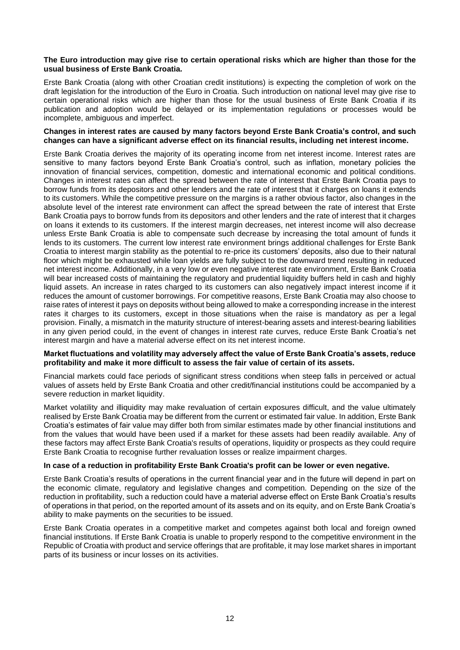#### **The Euro introduction may give rise to certain operational risks which are higher than those for the usual business of Erste Bank Croatia.**

Erste Bank Croatia (along with other Croatian credit institutions) is expecting the completion of work on the draft legislation for the introduction of the Euro in Croatia. Such introduction on national level may give rise to certain operational risks which are higher than those for the usual business of Erste Bank Croatia if its publication and adoption would be delayed or its implementation regulations or processes would be incomplete, ambiguous and imperfect.

### **Changes in interest rates are caused by many factors beyond Erste Bank Croatia's control, and such changes can have a significant adverse effect on its financial results, including net interest income.**

Erste Bank Croatia derives the majority of its operating income from net interest income. Interest rates are sensitive to many factors beyond Erste Bank Croatia's control, such as inflation, monetary policies the innovation of financial services, competition, domestic and international economic and political conditions. Changes in interest rates can affect the spread between the rate of interest that Erste Bank Croatia pays to borrow funds from its depositors and other lenders and the rate of interest that it charges on loans it extends to its customers. While the competitive pressure on the margins is a rather obvious factor, also changes in the absolute level of the interest rate environment can affect the spread between the rate of interest that Erste Bank Croatia pays to borrow funds from its depositors and other lenders and the rate of interest that it charges on loans it extends to its customers. If the interest margin decreases, net interest income will also decrease unless Erste Bank Croatia is able to compensate such decrease by increasing the total amount of funds it lends to its customers. The current low interest rate environment brings additional challenges for Erste Bank Croatia to interest margin stability as the potential to re-price its customers' deposits, also due to their natural floor which might be exhausted while loan yields are fully subject to the downward trend resulting in reduced net interest income. Additionally, in a very low or even negative interest rate environment, Erste Bank Croatia will bear increased costs of maintaining the regulatory and prudential liquidity buffers held in cash and highly liquid assets. An increase in rates charged to its customers can also negatively impact interest income if it reduces the amount of customer borrowings. For competitive reasons, Erste Bank Croatia may also choose to raise rates of interest it pays on deposits without being allowed to make a corresponding increase in the interest rates it charges to its customers, except in those situations when the raise is mandatory as per a legal provision. Finally, a mismatch in the maturity structure of interest-bearing assets and interest-bearing liabilities in any given period could, in the event of changes in interest rate curves, reduce Erste Bank Croatia's net interest margin and have a material adverse effect on its net interest income.

### **Market fluctuations and volatility may adversely affect the value of Erste Bank Croatia's assets, reduce profitability and make it more difficult to assess the fair value of certain of its assets.**

Financial markets could face periods of significant stress conditions when steep falls in perceived or actual values of assets held by Erste Bank Croatia and other credit/financial institutions could be accompanied by a severe reduction in market liquidity.

Market volatility and illiquidity may make revaluation of certain exposures difficult, and the value ultimately realised by Erste Bank Croatia may be different from the current or estimated fair value. In addition, Erste Bank Croatia's estimates of fair value may differ both from similar estimates made by other financial institutions and from the values that would have been used if a market for these assets had been readily available. Any of these factors may affect Erste Bank Croatia's results of operations, liquidity or prospects as they could require Erste Bank Croatia to recognise further revaluation losses or realize impairment charges.

#### **In case of a reduction in profitability Erste Bank Croatia's profit can be lower or even negative.**

Erste Bank Croatia's results of operations in the current financial year and in the future will depend in part on the economic climate, regulatory and legislative changes and competition. Depending on the size of the reduction in profitability, such a reduction could have a material adverse effect on Erste Bank Croatia's results of operations in that period, on the reported amount of its assets and on its equity, and on Erste Bank Croatia's ability to make payments on the securities to be issued.

Erste Bank Croatia operates in a competitive market and competes against both local and foreign owned financial institutions. If Erste Bank Croatia is unable to properly respond to the competitive environment in the Republic of Croatia with product and service offerings that are profitable, it may lose market shares in important parts of its business or incur losses on its activities.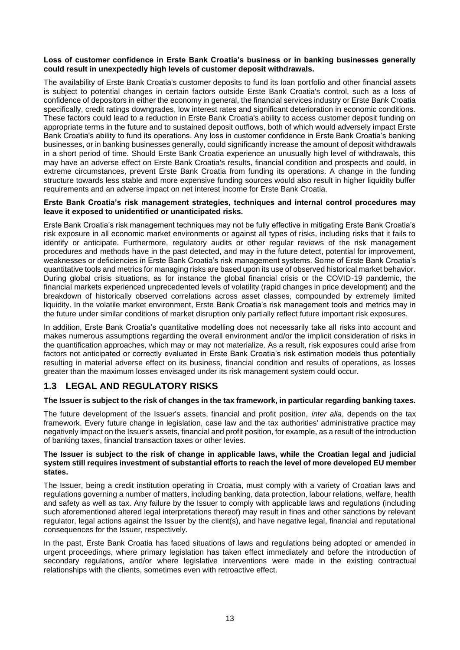### **Loss of customer confidence in Erste Bank Croatia's business or in banking businesses generally could result in unexpectedly high levels of customer deposit withdrawals.**

The availability of Erste Bank Croatia's customer deposits to fund its loan portfolio and other financial assets is subject to potential changes in certain factors outside Erste Bank Croatia's control, such as a loss of confidence of depositors in either the economy in general, the financial services industry or Erste Bank Croatia specifically, credit ratings downgrades, low interest rates and significant deterioration in economic conditions. These factors could lead to a reduction in Erste Bank Croatia's ability to access customer deposit funding on appropriate terms in the future and to sustained deposit outflows, both of which would adversely impact Erste Bank Croatia's ability to fund its operations. Any loss in customer confidence in Erste Bank Croatia's banking businesses, or in banking businesses generally, could significantly increase the amount of deposit withdrawals in a short period of time. Should Erste Bank Croatia experience an unusually high level of withdrawals, this may have an adverse effect on Erste Bank Croatia's results, financial condition and prospects and could, in extreme circumstances, prevent Erste Bank Croatia from funding its operations. A change in the funding structure towards less stable and more expensive funding sources would also result in higher liquidity buffer requirements and an adverse impact on net interest income for Erste Bank Croatia.

#### **Erste Bank Croatia's risk management strategies, techniques and internal control procedures may leave it exposed to unidentified or unanticipated risks.**

Erste Bank Croatia's risk management techniques may not be fully effective in mitigating Erste Bank Croatia's risk exposure in all economic market environments or against all types of risks, including risks that it fails to identify or anticipate. Furthermore, regulatory audits or other regular reviews of the risk management procedures and methods have in the past detected, and may in the future detect, potential for improvement, weaknesses or deficiencies in Erste Bank Croatia's risk management systems. Some of Erste Bank Croatia's quantitative tools and metrics for managing risks are based upon its use of observed historical market behavior. During global crisis situations, as for instance the global financial crisis or the COVID-19 pandemic, the financial markets experienced unprecedented levels of volatility (rapid changes in price development) and the breakdown of historically observed correlations across asset classes, compounded by extremely limited liquidity. In the volatile market environment, Erste Bank Croatia's risk management tools and metrics may in the future under similar conditions of market disruption only partially reflect future important risk exposures.

In addition, Erste Bank Croatia's quantitative modelling does not necessarily take all risks into account and makes numerous assumptions regarding the overall environment and/or the implicit consideration of risks in the quantification approaches, which may or may not materialize. As a result, risk exposures could arise from factors not anticipated or correctly evaluated in Erste Bank Croatia's risk estimation models thus potentially resulting in material adverse effect on its business, financial condition and results of operations, as losses greater than the maximum losses envisaged under its risk management system could occur.

## <span id="page-12-0"></span>**1.3 LEGAL AND REGULATORY RISKS**

### **The Issuer is subject to the risk of changes in the tax framework, in particular regarding banking taxes.**

The future development of the Issuer's assets, financial and profit position, *inter alia*, depends on the tax framework. Every future change in legislation, case law and the tax authorities' administrative practice may negatively impact on the Issuer's assets, financial and profit position, for example, as a result of the introduction of banking taxes, financial transaction taxes or other levies.

### **The Issuer is subject to the risk of change in applicable laws, while the Croatian legal and judicial system still requires investment of substantial efforts to reach the level of more developed EU member states.**

The Issuer, being a credit institution operating in Croatia, must comply with a variety of Croatian laws and regulations governing a number of matters, including banking, data protection, labour relations, welfare, health and safety as well as tax. Any failure by the Issuer to comply with applicable laws and regulations (including such aforementioned altered legal interpretations thereof) may result in fines and other sanctions by relevant regulator, legal actions against the Issuer by the client(s), and have negative legal, financial and reputational consequences for the Issuer, respectively.

In the past, Erste Bank Croatia has faced situations of laws and regulations being adopted or amended in urgent proceedings, where primary legislation has taken effect immediately and before the introduction of secondary regulations, and/or where legislative interventions were made in the existing contractual relationships with the clients, sometimes even with retroactive effect.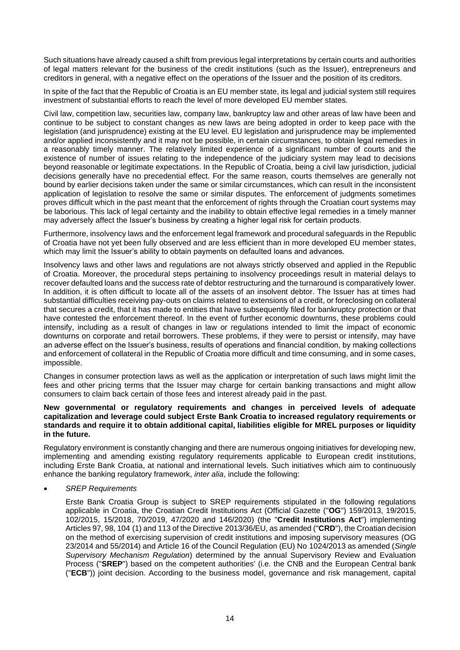Such situations have already caused a shift from previous legal interpretations by certain courts and authorities of legal matters relevant for the business of the credit institutions (such as the Issuer), entrepreneurs and creditors in general, with a negative effect on the operations of the Issuer and the position of its creditors.

In spite of the fact that the Republic of Croatia is an EU member state, its legal and judicial system still requires investment of substantial efforts to reach the level of more developed EU member states.

Civil law, competition law, securities law, company law, bankruptcy law and other areas of law have been and continue to be subject to constant changes as new laws are being adopted in order to keep pace with the legislation (and jurisprudence) existing at the EU level. EU legislation and jurisprudence may be implemented and/or applied inconsistently and it may not be possible, in certain circumstances, to obtain legal remedies in a reasonably timely manner. The relatively limited experience of a significant number of courts and the existence of number of issues relating to the independence of the judiciary system may lead to decisions beyond reasonable or legitimate expectations. In the Republic of Croatia, being a civil law jurisdiction, judicial decisions generally have no precedential effect. For the same reason, courts themselves are generally not bound by earlier decisions taken under the same or similar circumstances, which can result in the inconsistent application of legislation to resolve the same or similar disputes. The enforcement of judgments sometimes proves difficult which in the past meant that the enforcement of rights through the Croatian court systems may be laborious. This lack of legal certainty and the inability to obtain effective legal remedies in a timely manner may adversely affect the Issuer's business by creating a higher legal risk for certain products.

Furthermore, insolvency laws and the enforcement legal framework and procedural safeguards in the Republic of Croatia have not yet been fully observed and are less efficient than in more developed EU member states, which may limit the Issuer's ability to obtain payments on defaulted loans and advances.

Insolvency laws and other laws and regulations are not always strictly observed and applied in the Republic of Croatia. Moreover, the procedural steps pertaining to insolvency proceedings result in material delays to recover defaulted loans and the success rate of debtor restructuring and the turnaround is comparatively lower. In addition, it is often difficult to locate all of the assets of an insolvent debtor. The Issuer has at times had substantial difficulties receiving pay-outs on claims related to extensions of a credit, or foreclosing on collateral that secures a credit, that it has made to entities that have subsequently filed for bankruptcy protection or that have contested the enforcement thereof. In the event of further economic downturns, these problems could intensify, including as a result of changes in law or regulations intended to limit the impact of economic downturns on corporate and retail borrowers. These problems, if they were to persist or intensify, may have an adverse effect on the Issuer's business, results of operations and financial condition, by making collections and enforcement of collateral in the Republic of Croatia more difficult and time consuming, and in some cases, impossible.

Changes in consumer protection laws as well as the application or interpretation of such laws might limit the fees and other pricing terms that the Issuer may charge for certain banking transactions and might allow consumers to claim back certain of those fees and interest already paid in the past.

#### **New governmental or regulatory requirements and changes in perceived levels of adequate capitalization and leverage could subject Erste Bank Croatia to increased regulatory requirements or standards and require it to obtain additional capital, liabilities eligible for MREL purposes or liquidity in the future.**

Regulatory environment is constantly changing and there are numerous ongoing initiatives for developing new, implementing and amending existing regulatory requirements applicable to European credit institutions, including Erste Bank Croatia, at national and international levels. Such initiatives which aim to continuously enhance the banking regulatory framework, *inter alia*, include the following:

• *SREP Requirements*

Erste Bank Croatia Group is subject to SREP requirements stipulated in the following regulations applicable in Croatia, the Croatian Credit Institutions Act (Official Gazette ("**OG**") 159/2013, 19/2015, 102/2015, 15/2018, 70/2019, 47/2020 and 146/2020) (the "**Credit Institutions Act**") implementing Articles 97, 98, 104 (1) and 113 of the Directive 2013/36/EU, as amended ("**CRD**"), the Croatian decision on the method of exercising supervision of credit institutions and imposing supervisory measures (OG 23/2014 and 55/2014) and Article 16 of the Council Regulation (EU) No 1024/2013 as amended (*Single Supervisory Mechanism Regulation*) determined by the annual Supervisory Review and Evaluation Process ("**SREP**") based on the competent authorities' (i.e. the CNB and the European Central bank ("**ECB**")) joint decision. According to the business model, governance and risk management, capital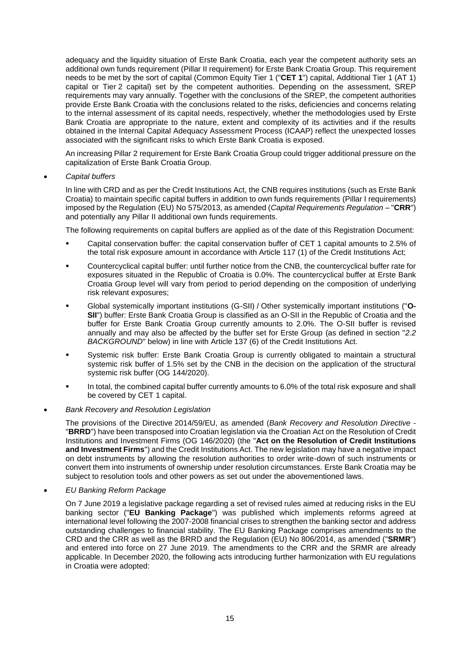adequacy and the liquidity situation of Erste Bank Croatia, each year the competent authority sets an additional own funds requirement (Pillar II requirement) for Erste Bank Croatia Group. This requirement needs to be met by the sort of capital (Common Equity Tier 1 ("**CET 1**") capital, Additional Tier 1 (AT 1) capital or Tier 2 capital) set by the competent authorities. Depending on the assessment, SREP requirements may vary annually. Together with the conclusions of the SREP, the competent authorities provide Erste Bank Croatia with the conclusions related to the risks, deficiencies and concerns relating to the internal assessment of its capital needs, respectively, whether the methodologies used by Erste Bank Croatia are appropriate to the nature, extent and complexity of its activities and if the results obtained in the Internal Capital Adequacy Assessment Process (ICAAP) reflect the unexpected losses associated with the significant risks to which Erste Bank Croatia is exposed.

An increasing Pillar 2 requirement for Erste Bank Croatia Group could trigger additional pressure on the capitalization of Erste Bank Croatia Group.

• *Capital buffers*

In line with CRD and as per the Credit Institutions Act, the CNB requires institutions (such as Erste Bank Croatia) to maintain specific capital buffers in addition to own funds requirements (Pillar I requirements) imposed by the Regulation (EU) No 575/2013, as amended (*Capital Requirements Regulation* – "**CRR**") and potentially any Pillar II additional own funds requirements.

The following requirements on capital buffers are applied as of the date of this Registration Document:

- Capital conservation buffer: the capital conservation buffer of CET 1 capital amounts to 2.5% of the total risk exposure amount in accordance with Article 117 (1) of the Credit Institutions Act;
- Countercyclical capital buffer: until further notice from the CNB, the countercyclical buffer rate for exposures situated in the Republic of Croatia is 0.0%. The countercyclical buffer at Erste Bank Croatia Group level will vary from period to period depending on the composition of underlying risk relevant exposures;
- Global systemically important institutions (G-SII) / Other systemically important institutions ("**O-SII**") buffer: Erste Bank Croatia Group is classified as an O-SII in the Republic of Croatia and the buffer for Erste Bank Croatia Group currently amounts to 2.0%. The O-SII buffer is revised annually and may also be affected by the buffer set for Erste Group (as defined in section "*2.2 BACKGROUND*" below) in line with Article 137 (6) of the Credit Institutions Act.
- Systemic risk buffer: Erste Bank Croatia Group is currently obligated to maintain a structural systemic risk buffer of 1.5% set by the CNB in the decision on the application of the structural systemic risk buffer (OG 144/2020).
- In total, the combined capital buffer currently amounts to 6.0% of the total risk exposure and shall be covered by CET 1 capital.
- *Bank Recovery and Resolution Legislation*

The provisions of the Directive 2014/59/EU, as amended (*Bank Recovery and Resolution Directive* - "**BRRD**") have been transposed into Croatian legislation via the Croatian Act on the Resolution of Credit Institutions and Investment Firms (OG 146/2020) (the "**Act on the Resolution of Credit Institutions and Investment Firms**") and the Credit Institutions Act. The new legislation may have a negative impact on debt instruments by allowing the resolution authorities to order write-down of such instruments or convert them into instruments of ownership under resolution circumstances. Erste Bank Croatia may be subject to resolution tools and other powers as set out under the abovementioned laws.

• *EU Banking Reform Package*

On 7 June 2019 a legislative package regarding a set of revised rules aimed at reducing risks in the EU banking sector ("**EU Banking Package**") was published which implements reforms agreed at international level following the 2007-2008 financial crises to strengthen the banking sector and address outstanding challenges to financial stability. The EU Banking Package comprises amendments to the CRD and the CRR as well as the BRRD and the Regulation (EU) No 806/2014, as amended ("**SRMR**") and entered into force on 27 June 2019. The amendments to the CRR and the SRMR are already applicable. In December 2020, the following acts introducing further harmonization with EU regulations in Croatia were adopted: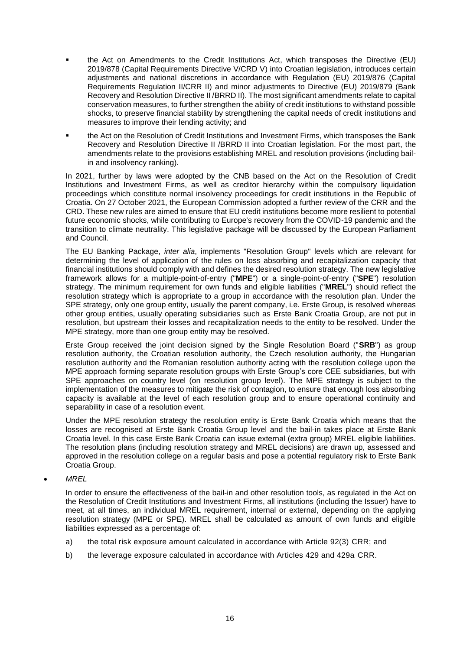- the Act on Amendments to the Credit Institutions Act, which transposes the Directive (EU) 2019/878 (Capital Requirements Directive V/CRD V) into Croatian legislation, introduces certain adjustments and national discretions in accordance with Regulation (EU) 2019/876 (Capital Requirements Regulation II/CRR II) and minor adjustments to Directive (EU) 2019/879 (Bank Recovery and Resolution Directive II /BRRD II). The most significant amendments relate to capital conservation measures, to further strengthen the ability of credit institutions to withstand possible shocks, to preserve financial stability by strengthening the capital needs of credit institutions and measures to improve their lending activity; and
- the Act on the Resolution of Credit Institutions and Investment Firms, which transposes the Bank Recovery and Resolution Directive II /BRRD II into Croatian legislation. For the most part, the amendments relate to the provisions establishing MREL and resolution provisions (including bailin and insolvency ranking).

In 2021, further by laws were adopted by the CNB based on the Act on the Resolution of Credit Institutions and Investment Firms, as well as creditor hierarchy within the compulsory liquidation proceedings which constitute normal insolvency proceedings for credit institutions in the Republic of Croatia. On 27 October 2021, the European Commission adopted a further review of the CRR and the CRD. These new rules are aimed to ensure that EU credit institutions become more resilient to potential future economic shocks, while contributing to Europe's recovery from the COVID-19 pandemic and the transition to climate neutrality. This legislative package will be discussed by the European Parliament and Council.

The EU Banking Package, *inter alia*, implements "Resolution Group" levels which are relevant for determining the level of application of the rules on loss absorbing and recapitalization capacity that financial institutions should comply with and defines the desired resolution strategy. The new legislative framework allows for a multiple-point-of-entry ("**MPE**") or a single-point-of-entry ("**SPE**") resolution strategy. The minimum requirement for own funds and eligible liabilities ("**MREL**") should reflect the resolution strategy which is appropriate to a group in accordance with the resolution plan. Under the SPE strategy, only one group entity, usually the parent company, i.e. Erste Group, is resolved whereas other group entities, usually operating subsidiaries such as Erste Bank Croatia Group, are not put in resolution, but upstream their losses and recapitalization needs to the entity to be resolved. Under the MPE strategy, more than one group entity may be resolved.

Erste Group received the joint decision signed by the Single Resolution Board ("**SRB**") as group resolution authority, the Croatian resolution authority, the Czech resolution authority, the Hungarian resolution authority and the Romanian resolution authority acting with the resolution college upon the MPE approach forming separate resolution groups with Erste Group's core CEE subsidiaries, but with SPE approaches on country level (on resolution group level). The MPE strategy is subject to the implementation of the measures to mitigate the risk of contagion, to ensure that enough loss absorbing capacity is available at the level of each resolution group and to ensure operational continuity and separability in case of a resolution event.

Under the MPE resolution strategy the resolution entity is Erste Bank Croatia which means that the losses are recognised at Erste Bank Croatia Group level and the bail-in takes place at Erste Bank Croatia level. In this case Erste Bank Croatia can issue external (extra group) MREL eligible liabilities. The resolution plans (including resolution strategy and MREL decisions) are drawn up, assessed and approved in the resolution college on a regular basis and pose a potential regulatory risk to Erste Bank Croatia Group.

• *MREL*

In order to ensure the effectiveness of the bail-in and other resolution tools, as regulated in the Act on the Resolution of Credit Institutions and Investment Firms, all institutions (including the Issuer) have to meet, at all times, an individual MREL requirement, internal or external, depending on the applying resolution strategy (MPE or SPE). MREL shall be calculated as amount of own funds and eligible liabilities expressed as a percentage of:

- a) the total risk exposure amount calculated in accordance with Article 92(3) CRR; and
- b) the leverage exposure calculated in accordance with Articles 429 and 429a CRR.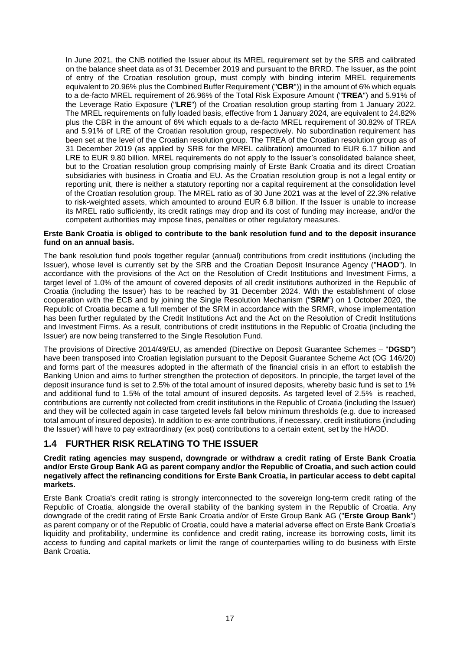In June 2021, the CNB notified the Issuer about its MREL requirement set by the SRB and calibrated on the balance sheet data as of 31 December 2019 and pursuant to the BRRD. The Issuer, as the point of entry of the Croatian resolution group, must comply with binding interim MREL requirements equivalent to 20.96% plus the Combined Buffer Requirement ("**CBR**")) in the amount of 6% which equals to a de-facto MREL requirement of 26.96% of the Total Risk Exposure Amount ("**TREA**") and 5.91% of the Leverage Ratio Exposure ("**LRE**") of the Croatian resolution group starting from 1 January 2022. The MREL requirements on fully loaded basis, effective from 1 January 2024, are equivalent to 24.82% plus the CBR in the amount of 6% which equals to a de-facto MREL requirement of 30.82% of TREA and 5.91% of LRE of the Croatian resolution group, respectively. No subordination requirement has been set at the level of the Croatian resolution group. The TREA of the Croatian resolution group as of 31 December 2019 (as applied by SRB for the MREL calibration) amounted to EUR 6.17 billion and LRE to EUR 9.80 billion. MREL requirements do not apply to the Issuer's consolidated balance sheet. but to the Croatian resolution group comprising mainly of Erste Bank Croatia and its direct Croatian subsidiaries with business in Croatia and EU. As the Croatian resolution group is not a legal entity or reporting unit, there is neither a statutory reporting nor a capital requirement at the consolidation level of the Croatian resolution group. The MREL ratio as of 30 June 2021 was at the level of 22.3% relative to risk-weighted assets, which amounted to around EUR 6.8 billion. If the Issuer is unable to increase its MREL ratio sufficiently, its credit ratings may drop and its cost of funding may increase, and/or the competent authorities may impose fines, penalties or other regulatory measures.

#### **Erste Bank Croatia is obliged to contribute to the bank resolution fund and to the deposit insurance fund on an annual basis.**

The bank resolution fund pools together regular (annual) contributions from credit institutions (including the Issuer), whose level is currently set by the SRB and the Croatian Deposit Insurance Agency ("**HAOD**"). In accordance with the provisions of the Act on the Resolution of Credit Institutions and Investment Firms, a target level of 1.0% of the amount of covered deposits of all credit institutions authorized in the Republic of Croatia (including the Issuer) has to be reached by 31 December 2024. With the establishment of close cooperation with the ECB and by joining the Single Resolution Mechanism ("**SRM**") on 1 October 2020, the Republic of Croatia became a full member of the SRM in accordance with the SRMR, whose implementation has been further regulated by the Credit Institutions Act and the Act on the Resolution of Credit Institutions and Investment Firms. As a result, contributions of credit institutions in the Republic of Croatia (including the Issuer) are now being transferred to the Single Resolution Fund.

The provisions of Directive 2014/49/EU, as amended (Directive on Deposit Guarantee Schemes – "**DGSD**") have been transposed into Croatian legislation pursuant to the Deposit Guarantee Scheme Act (OG 146/20) and forms part of the measures adopted in the aftermath of the financial crisis in an effort to establish the Banking Union and aims to further strengthen the protection of depositors. In principle, the target level of the deposit insurance fund is set to 2.5% of the total amount of insured deposits, whereby basic fund is set to 1% and additional fund to 1.5% of the total amount of insured deposits. As targeted level of 2.5% is reached, contributions are currently not collected from credit institutions in the Republic of Croatia (including the Issuer) and they will be collected again in case targeted levels fall below minimum thresholds (e.g. due to increased total amount of insured deposits). In addition to ex-ante contributions, if necessary, credit institutions (including the Issuer) will have to pay extraordinary (ex post) contributions to a certain extent, set by the HAOD.

## <span id="page-16-0"></span>**1.4 FURTHER RISK RELATING TO THE ISSUER**

#### **Credit rating agencies may suspend, downgrade or withdraw a credit rating of Erste Bank Croatia and/or Erste Group Bank AG as parent company and/or the Republic of Croatia, and such action could negatively affect the refinancing conditions for Erste Bank Croatia, in particular access to debt capital markets.**

Erste Bank Croatia's credit rating is strongly interconnected to the sovereign long-term credit rating of the Republic of Croatia, alongside the overall stability of the banking system in the Republic of Croatia. Any downgrade of the credit rating of Erste Bank Croatia and/or of Erste Group Bank AG ("**Erste Group Bank**") as parent company or of the Republic of Croatia, could have a material adverse effect on Erste Bank Croatia's liquidity and profitability, undermine its confidence and credit rating, increase its borrowing costs, limit its access to funding and capital markets or limit the range of counterparties willing to do business with Erste Bank Croatia.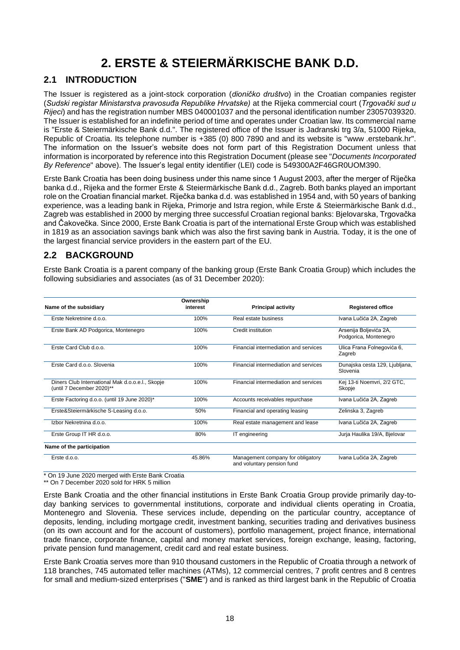# **2. ERSTE & STEIERMÄRKISCHE BANK D.D.**

## <span id="page-17-1"></span><span id="page-17-0"></span>**2.1 INTRODUCTION**

The Issuer is registered as a joint-stock corporation (*dioničko društvo*) in the Croatian companies register (*Sudski registar Ministarstva pravosuđa Republike Hrvatske)* at the Rijeka commercial court (*Trgovački sud u Rijeci*) and has the registration number MBS 040001037 and the personal identification number 23057039320. The Issuer is established for an indefinite period of time and operates under Croatian law. Its commercial name is "Erste & Steiermärkische Bank d.d.". The registered office of the Issuer is Jadranski trg 3/a, 51000 Rijeka, Republic of Croatia. Its telephone number is +385 (0) 800 7890 and and its website is "www .erstebank.hr". The information on the Issuer's website does not form part of this Registration Document unless that information is incorporated by reference into this Registration Document (please see "*Documents Incorporated By Reference*" above). The Issuer's legal entity identifier (LEI) code is 549300A2F46GR0UOM390.

Erste Bank Croatia has been doing business under this name since 1 August 2003, after the merger of Riječka banka d.d., Rijeka and the former Erste & Steiermärkische Bank d.d., Zagreb. Both banks played an important role on the Croatian financial market. Riječka banka d.d. was established in 1954 and, with 50 years of banking experience, was a leading bank in Rijeka, Primorje and Istra region, while Erste & Steiermärkische Bank d.d., Zagreb was established in 2000 by merging three successful Croatian regional banks: Bjelovarska, Trgovačka and Čakovečka. Since 2000, Erste Bank Croatia is part of the international Erste Group which was established in 1819 as an association savings bank which was also the first saving bank in Austria. Today, it is the one of the largest financial service providers in the eastern part of the EU.

## <span id="page-17-2"></span>**2.2 BACKGROUND**

Erste Bank Croatia is a parent company of the banking group (Erste Bank Croatia Group) which includes the following subsidiaries and associates (as of 31 December 2020):

| Name of the subsidiary                                                        | Ownership<br>interest | <b>Principal activity</b>                                       | <b>Registered office</b>                        |
|-------------------------------------------------------------------------------|-----------------------|-----------------------------------------------------------------|-------------------------------------------------|
| Erste Nekretnine d.o.o.                                                       | 100%                  | Real estate business                                            | Ivana Lučića 2A, Zagreb                         |
| Erste Bank AD Podgorica, Montenegro                                           | 100%                  | Credit institution                                              | Arsenija Boljevića 2A,<br>Podgorica, Montenegro |
| Erste Card Club d.o.o.                                                        | 100%                  | Financial intermediation and services                           | Ulica Frana Folnegovića 6,<br>Zagreb            |
| Erste Card d.o.o. Slovenia                                                    | 100%                  | Financial intermediation and services                           | Dunajska cesta 129, Ljubljana,<br>Slovenia      |
| Diners Club International Mak d.o.o.e.l., Skopje<br>(until 7 December 2020)** | 100%                  | Financial intermediation and services                           | Kej 13-ti Noemvri, 2/2 GTC,<br>Skopje           |
| Erste Factoring d.o.o. (until 19 June 2020)*                                  | 100%                  | Accounts receivables repurchase                                 | Ivana Lučića 2A, Zagreb                         |
| Erste&Steiermärkische S-Leasing d.o.o.                                        | 50%                   | Financial and operating leasing                                 | Zelinska 3, Zagreb                              |
| Izbor Nekretnina d.o.o.                                                       | 100%                  | Real estate management and lease                                | Ivana Lučića 2A, Zagreb                         |
| Erste Group IT HR d.o.o.                                                      | 80%                   | IT engineering                                                  | Juria Haulika 19/A, Bielovar                    |
| Name of the participation                                                     |                       |                                                                 |                                                 |
| Erste d.o.o.                                                                  | 45.86%                | Management company for obligatory<br>and voluntary pension fund | Ivana Lučića 2A, Zagreb                         |

\* On 19 June 2020 merged with Erste Bank Croatia

\*\* On 7 December 2020 sold for HRK 5 million

Erste Bank Croatia and the other financial institutions in Erste Bank Croatia Group provide primarily day-today banking services to governmental institutions, corporate and individual clients operating in Croatia, Montenegro and Slovenia. These services include, depending on the particular country, acceptance of deposits, lending, including mortgage credit, investment banking, securities trading and derivatives business (on its own account and for the account of customers), portfolio management, project finance, international trade finance, corporate finance, capital and money market services, foreign exchange, leasing, factoring, private pension fund management, credit card and real estate business.

Erste Bank Croatia serves more than 910 thousand customers in the Republic of Croatia through a network of 118 branches, 745 automated teller machines (ATMs), 12 commercial centres, 7 profit centres and 8 centres for small and medium-sized enterprises ("**SME**") and is ranked as third largest bank in the Republic of Croatia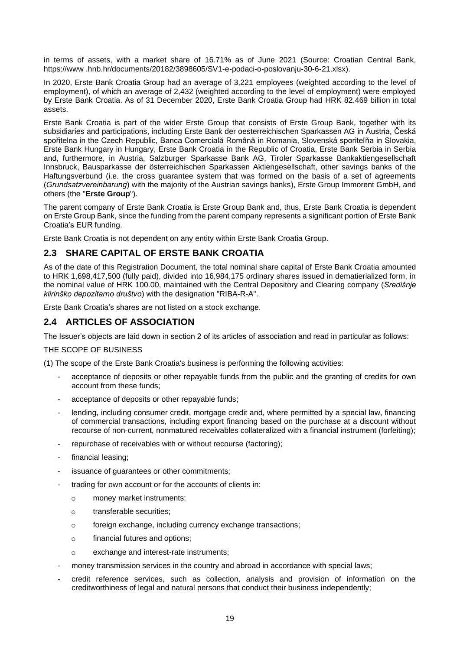in terms of assets, with a market share of 16.71% as of June 2021 (Source: Croatian Central Bank, https://www .hnb.hr/documents/20182/3898605/SV1-e-podaci-o-poslovanju-30-6-21.xlsx).

In 2020, Erste Bank Croatia Group had an average of 3,221 employees (weighted according to the level of employment), of which an average of 2,432 (weighted according to the level of employment) were employed by Erste Bank Croatia. As of 31 December 2020, Erste Bank Croatia Group had HRK 82.469 billion in total assets.

Erste Bank Croatia is part of the wider Erste Group that consists of Erste Group Bank, together with its subsidiaries and participations, including Erste Bank der oesterreichischen Sparkassen AG in Austria, Česká spořitelna in the Czech Republic, Banca Comercială Română in Romania, Slovenská sporiteľňa in Slovakia, Erste Bank Hungary in Hungary, Erste Bank Croatia in the Republic of Croatia, Erste Bank Serbia in Serbia and, furthermore, in Austria, Salzburger Sparkasse Bank AG, Tiroler Sparkasse Bankaktiengesellschaft Innsbruck, Bausparkasse der österreichischen Sparkassen Aktiengesellschaft, other savings banks of the Haftungsverbund (i.e. the cross guarantee system that was formed on the basis of a set of agreements (*Grundsatzvereinbarung*) with the majority of the Austrian savings banks), Erste Group Immorent GmbH, and others (the "**Erste Group**").

The parent company of Erste Bank Croatia is Erste Group Bank and, thus, Erste Bank Croatia is dependent on Erste Group Bank, since the funding from the parent company represents a significant portion of Erste Bank Croatia's EUR funding.

Erste Bank Croatia is not dependent on any entity within Erste Bank Croatia Group.

## <span id="page-18-0"></span>**2.3 SHARE CAPITAL OF ERSTE BANK CROATIA**

As of the date of this Registration Document, the total nominal share capital of Erste Bank Croatia amounted to HRK 1,698,417,500 (fully paid), divided into 16,984,175 ordinary shares issued in dematierialized form, in the nominal value of HRK 100.00, maintained with the Central Depository and Clearing company (*Središnje klirinško depozitarno društvo*) with the designation "RIBA-R-A".

Erste Bank Croatia's shares are not listed on a stock exchange.

## <span id="page-18-1"></span>**2.4 ARTICLES OF ASSOCIATION**

The Issuer's objects are laid down in section 2 of its articles of association and read in particular as follows:

THE SCOPE OF BUSINESS

(1) The scope of the Erste Bank Croatia's business is performing the following activities:

- acceptance of deposits or other repayable funds from the public and the granting of credits for own account from these funds;
- acceptance of deposits or other repayable funds;
- lending, including consumer credit, mortgage credit and, where permitted by a special law, financing of commercial transactions, including export financing based on the purchase at a discount without recourse of non-current, nonmatured receivables collateralized with a financial instrument (forfeiting);
- repurchase of receivables with or without recourse (factoring);
- financial leasing;
- issuance of guarantees or other commitments;
- trading for own account or for the accounts of clients in:
	- o money market instruments;
	- o transferable securities;
	- o foreign exchange, including currency exchange transactions;
	- o financial futures and options;
	- o exchange and interest-rate instruments;
- money transmission services in the country and abroad in accordance with special laws;
- credit reference services, such as collection, analysis and provision of information on the creditworthiness of legal and natural persons that conduct their business independently;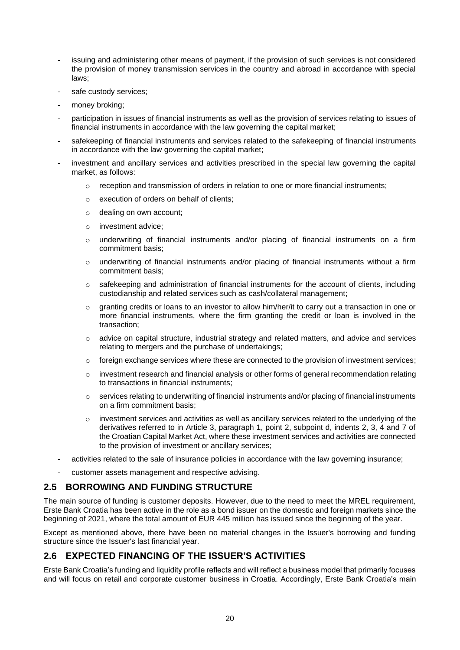- issuing and administering other means of payment, if the provision of such services is not considered the provision of money transmission services in the country and abroad in accordance with special laws;
- safe custody services:
- money broking;
- participation in issues of financial instruments as well as the provision of services relating to issues of financial instruments in accordance with the law governing the capital market;
- safekeeping of financial instruments and services related to the safekeeping of financial instruments in accordance with the law governing the capital market;
- investment and ancillary services and activities prescribed in the special law governing the capital market, as follows:
	- $\circ$  reception and transmission of orders in relation to one or more financial instruments;
	- o execution of orders on behalf of clients;
	- o dealing on own account;
	- o investment advice;
	- o underwriting of financial instruments and/or placing of financial instruments on a firm commitment basis;
	- $\circ$  underwriting of financial instruments and/or placing of financial instruments without a firm commitment basis;
	- $\circ$  safekeeping and administration of financial instruments for the account of clients, including custodianship and related services such as cash/collateral management;
	- $\circ$  granting credits or loans to an investor to allow him/her/it to carry out a transaction in one or more financial instruments, where the firm granting the credit or loan is involved in the transaction;
	- $\circ$  advice on capital structure, industrial strategy and related matters, and advice and services relating to mergers and the purchase of undertakings;
	- $\circ$  foreign exchange services where these are connected to the provision of investment services;
	- $\circ$  investment research and financial analysis or other forms of general recommendation relating to transactions in financial instruments;
	- $\circ$  services relating to underwriting of financial instruments and/or placing of financial instruments on a firm commitment basis;
	- o investment services and activities as well as ancillary services related to the underlying of the derivatives referred to in Article 3, paragraph 1, point 2, subpoint d, indents 2, 3, 4 and 7 of the Croatian Capital Market Act, where these investment services and activities are connected to the provision of investment or ancillary services;
- activities related to the sale of insurance policies in accordance with the law governing insurance;
- customer assets management and respective advising.

## <span id="page-19-0"></span>**2.5 BORROWING AND FUNDING STRUCTURE**

The main source of funding is customer deposits. However, due to the need to meet the MREL requirement, Erste Bank Croatia has been active in the role as a bond issuer on the domestic and foreign markets since the beginning of 2021, where the total amount of EUR 445 million has issued since the beginning of the year.

Except as mentioned above, there have been no material changes in the Issuer's borrowing and funding structure since the Issuer's last financial year.

## <span id="page-19-1"></span>**2.6 EXPECTED FINANCING OF THE ISSUER'S ACTIVITIES**

Erste Bank Croatia's funding and liquidity profile reflects and will reflect a business model that primarily focuses and will focus on retail and corporate customer business in Croatia. Accordingly, Erste Bank Croatia's main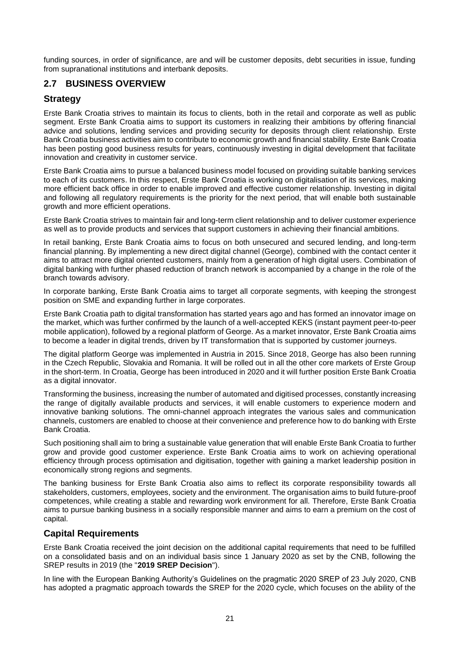funding sources, in order of significance, are and will be customer deposits, debt securities in issue, funding from supranational institutions and interbank deposits.

## <span id="page-20-0"></span>**2.7 BUSINESS OVERVIEW**

## **Strategy**

Erste Bank Croatia strives to maintain its focus to clients, both in the retail and corporate as well as public segment. Erste Bank Croatia aims to support its customers in realizing their ambitions by offering financial advice and solutions, lending services and providing security for deposits through client relationship. Erste Bank Croatia business activities aim to contribute to economic growth and financial stability. Erste Bank Croatia has been posting good business results for years, continuously investing in digital development that facilitate innovation and creativity in customer service.

Erste Bank Croatia aims to pursue a balanced business model focused on providing suitable banking services to each of its customers. In this respect, Erste Bank Croatia is working on digitalisation of its services, making more efficient back office in order to enable improved and effective customer relationship. Investing in digital and following all regulatory requirements is the priority for the next period, that will enable both sustainable growth and more efficient operations.

Erste Bank Croatia strives to maintain fair and long-term client relationship and to deliver customer experience as well as to provide products and services that support customers in achieving their financial ambitions.

In retail banking, Erste Bank Croatia aims to focus on both unsecured and secured lending, and long-term financial planning. By implementing a new direct digital channel (George), combined with the contact center it aims to attract more digital oriented customers, mainly from a generation of high digital users. Combination of digital banking with further phased reduction of branch network is accompanied by a change in the role of the branch towards advisory.

In corporate banking, Erste Bank Croatia aims to target all corporate segments, with keeping the strongest position on SME and expanding further in large corporates.

Erste Bank Croatia path to digital transformation has started years ago and has formed an innovator image on the market, which was further confirmed by the launch of a well-accepted KEKS (instant payment peer-to-peer mobile application), followed by a regional platform of George. As a market innovator, Erste Bank Croatia aims to become a leader in digital trends, driven by IT transformation that is supported by customer journeys.

The digital platform George was implemented in Austria in 2015. Since 2018, George has also been running in the Czech Republic, Slovakia and Romania. It will be rolled out in all the other core markets of Erste Group in the short-term. In Croatia, George has been introduced in 2020 and it will further position Erste Bank Croatia as a digital innovator.

Transforming the business, increasing the number of automated and digitised processes, constantly increasing the range of digitally available products and services, it will enable customers to experience modern and innovative banking solutions. The omni-channel approach integrates the various sales and communication channels, customers are enabled to choose at their convenience and preference how to do banking with Erste Bank Croatia.

Such positioning shall aim to bring a sustainable value generation that will enable Erste Bank Croatia to further grow and provide good customer experience. Erste Bank Croatia aims to work on achieving operational efficiency through process optimisation and digitisation, together with gaining a market leadership position in economically strong regions and segments.

The banking business for Erste Bank Croatia also aims to reflect its corporate responsibility towards all stakeholders, customers, employees, society and the environment. The organisation aims to build future-proof competences, while creating a stable and rewarding work environment for all. Therefore, Erste Bank Croatia aims to pursue banking business in a socially responsible manner and aims to earn a premium on the cost of capital.

## **Capital Requirements**

Erste Bank Croatia received the joint decision on the additional capital requirements that need to be fulfilled on a consolidated basis and on an individual basis since 1 January 2020 as set by the CNB, following the SREP results in 2019 (the "**2019 SREP Decision**").

In line with the European Banking Authority's Guidelines on the pragmatic 2020 SREP of 23 July 2020, CNB has adopted a pragmatic approach towards the SREP for the 2020 cycle, which focuses on the ability of the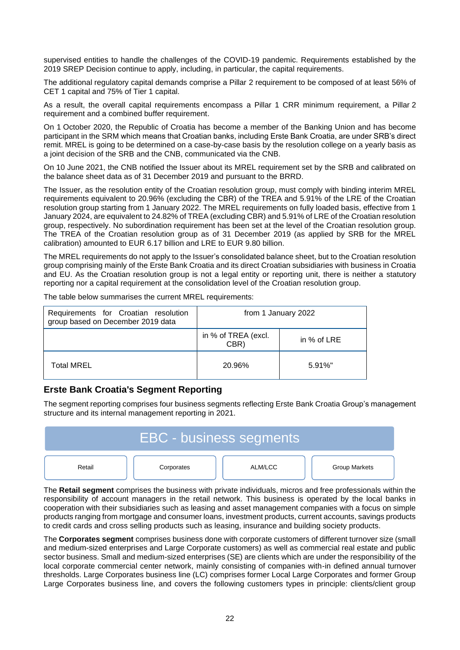supervised entities to handle the challenges of the COVID-19 pandemic. Requirements established by the 2019 SREP Decision continue to apply, including, in particular, the capital requirements.

The additional regulatory capital demands comprise a Pillar 2 requirement to be composed of at least 56% of CET 1 capital and 75% of Tier 1 capital.

As a result, the overall capital requirements encompass a Pillar 1 CRR minimum requirement, a Pillar 2 requirement and a combined buffer requirement.

On 1 October 2020, the Republic of Croatia has become a member of the Banking Union and has become participant in the SRM which means that Croatian banks, including Erste Bank Croatia, are under SRB's direct remit. MREL is going to be determined on a case-by-case basis by the resolution college on a yearly basis as a joint decision of the SRB and the CNB, communicated via the CNB.

On 10 June 2021, the CNB notified the Issuer about its MREL requirement set by the SRB and calibrated on the balance sheet data as of 31 December 2019 and pursuant to the BRRD.

The Issuer, as the resolution entity of the Croatian resolution group, must comply with binding interim MREL requirements equivalent to 20.96% (excluding the CBR) of the TREA and 5.91% of the LRE of the Croatian resolution group starting from 1 January 2022. The MREL requirements on fully loaded basis, effective from 1 January 2024, are equivalent to 24.82% of TREA (excluding CBR) and 5.91% of LRE of the Croatian resolution group, respectively. No subordination requirement has been set at the level of the Croatian resolution group. The TREA of the Croatian resolution group as of 31 December 2019 (as applied by SRB for the MREL calibration) amounted to EUR 6.17 billion and LRE to EUR 9.80 billion.

The MREL requirements do not apply to the Issuer's consolidated balance sheet, but to the Croatian resolution group comprising mainly of the Erste Bank Croatia and its direct Croatian subsidiaries with business in Croatia and EU. As the Croatian resolution group is not a legal entity or reporting unit, there is neither a statutory reporting nor a capital requirement at the consolidation level of the Croatian resolution group.

| Requirements for Croatian resolution<br>group based on December 2019 data | from 1 January 2022         |             |  |
|---------------------------------------------------------------------------|-----------------------------|-------------|--|
|                                                                           | in % of TREA (excl.<br>CBR) | in % of LRE |  |
| <b>Total MREL</b>                                                         | 20.96%                      | $5.91\%$ "  |  |

The table below summarises the current MREL requirements:

## **Erste Bank Croatia's Segment Reporting**

The segment reporting comprises four business segments reflecting Erste Bank Croatia Group's management structure and its internal management reporting in 2021.



The **Retail segment** comprises the business with private individuals, micros and free professionals within the responsibility of account managers in the retail network. This business is operated by the local banks in cooperation with their subsidiaries such as leasing and asset management companies with a focus on simple products ranging from mortgage and consumer loans, investment products, current accounts, savings products to credit cards and cross selling products such as leasing, insurance and building society products.

The **Corporates segment** comprises business done with corporate customers of different turnover size (small and medium-sized enterprises and Large Corporate customers) as well as commercial real estate and public sector business. Small and medium-sized enterprises (SE) are clients which are under the responsibility of the local corporate commercial center network, mainly consisting of companies with-in defined annual turnover thresholds. Large Corporates business line (LC) comprises former Local Large Corporates and former Group Large Corporates business line, and covers the following customers types in principle: clients/client group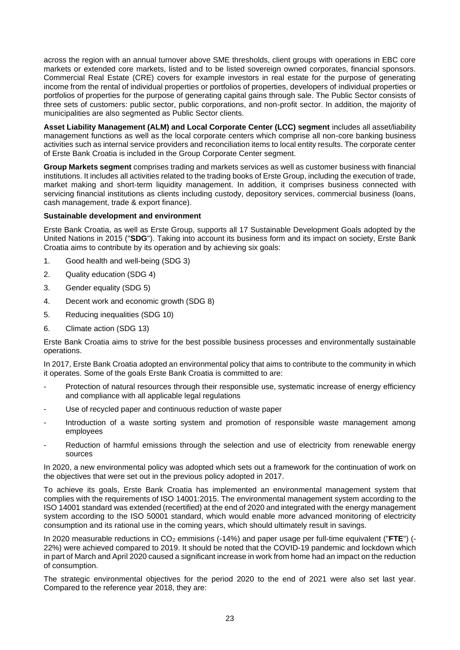across the region with an annual turnover above SME thresholds, client groups with operations in EBC core markets or extended core markets, listed and to be listed sovereign owned corporates, financial sponsors. Commercial Real Estate (CRE) covers for example investors in real estate for the purpose of generating income from the rental of individual properties or portfolios of properties, developers of individual properties or portfolios of properties for the purpose of generating capital gains through sale. The Public Sector consists of three sets of customers: public sector, public corporations, and non-profit sector. In addition, the majority of municipalities are also segmented as Public Sector clients.

**Asset Liability Management (ALM) and Local Corporate Center (LCC) segment** includes all asset/liability management functions as well as the local corporate centers which comprise all non-core banking business activities such as internal service providers and reconciliation items to local entity results. The corporate center of Erste Bank Croatia is included in the Group Corporate Center segment.

**Group Markets segment** comprises trading and markets services as well as customer business with financial institutions. It includes all activities related to the trading books of Erste Group, including the execution of trade, market making and short-term liquidity management. In addition, it comprises business connected with servicing financial institutions as clients including custody, depository services, commercial business (loans, cash management, trade & export finance).

### **Sustainable development and environment**

Erste Bank Croatia, as well as Erste Group, supports all 17 Sustainable Development Goals adopted by the United Nations in 2015 ("**SDG**"). Taking into account its business form and its impact on society, Erste Bank Croatia aims to contribute by its operation and by achieving six goals:

- 1. Good health and well-being (SDG 3)
- 2. Quality education (SDG 4)
- 3. Gender equality (SDG 5)
- 4. Decent work and economic growth (SDG 8)
- 5. Reducing inequalities (SDG 10)
- 6. Climate action (SDG 13)

Erste Bank Croatia aims to strive for the best possible business processes and environmentally sustainable operations.

In 2017, Erste Bank Croatia adopted an environmental policy that aims to contribute to the community in which it operates. Some of the goals Erste Bank Croatia is committed to are:

- Protection of natural resources through their responsible use, systematic increase of energy efficiency and compliance with all applicable legal regulations
- Use of recycled paper and continuous reduction of waste paper
- Introduction of a waste sorting system and promotion of responsible waste management among employees
- Reduction of harmful emissions through the selection and use of electricity from renewable energy sources

In 2020, a new environmental policy was adopted which sets out a framework for the continuation of work on the objectives that were set out in the previous policy adopted in 2017.

To achieve its goals, Erste Bank Croatia has implemented an environmental management system that complies with the requirements of ISO 14001:2015. The environmental management system according to the ISO 14001 standard was extended (recertified) at the end of 2020 and integrated with the energy management system according to the ISO 50001 standard, which would enable more advanced monitoring of electricity consumption and its rational use in the coming years, which should ultimately result in savings.

In 2020 measurable reductions in CO<sub>2</sub> emmisions (-14%) and paper usage per full-time equivalent ("FTE") (-22%) were achieved compared to 2019. It should be noted that the COVID-19 pandemic and lockdown which in part of March and April 2020 caused a significant increase in work from home had an impact on the reduction of consumption.

The strategic environmental objectives for the period 2020 to the end of 2021 were also set last year. Compared to the reference year 2018, they are: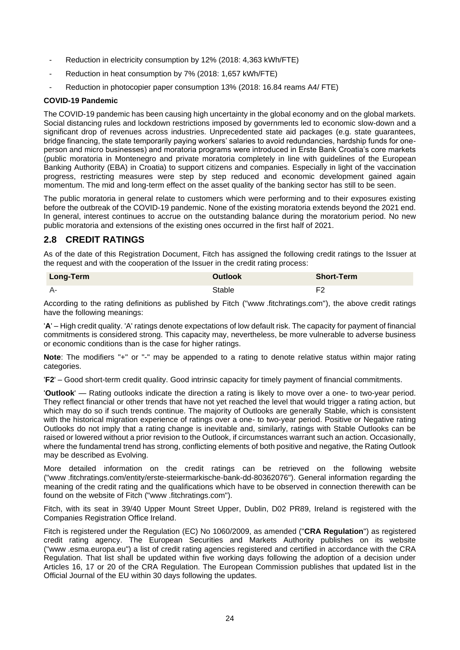- Reduction in electricity consumption by 12% (2018: 4,363 kWh/FTE)
- Reduction in heat consumption by 7% (2018: 1,657 kWh/FTE)
- Reduction in photocopier paper consumption 13% (2018: 16.84 reams A4/ FTE)

### **COVID-19 Pandemic**

The COVID-19 pandemic has been causing high uncertainty in the global economy and on the global markets. Social distancing rules and lockdown restrictions imposed by governments led to economic slow-down and a significant drop of revenues across industries. Unprecedented state aid packages (e.g. state guarantees, bridge financing, the state temporarily paying workers' salaries to avoid redundancies, hardship funds for oneperson and micro businesses) and moratoria programs were introduced in Erste Bank Croatia's core markets (public moratoria in Montenegro and private moratoria completely in line with guidelines of the European Banking Authority (EBA) in Croatia) to support citizens and companies. Especially in light of the vaccination progress, restricting measures were step by step reduced and economic development gained again momentum. The mid and long-term effect on the asset quality of the banking sector has still to be seen.

The public moratoria in general relate to customers which were performing and to their exposures existing before the outbreak of the COVID-19 pandemic. None of the existing moratoria extends beyond the 2021 end. In general, interest continues to accrue on the outstanding balance during the moratorium period. No new public moratoria and extensions of the existing ones occurred in the first half of 2021.

## <span id="page-23-0"></span>**2.8 CREDIT RATINGS**

As of the date of this Registration Document, Fitch has assigned the following credit ratings to the Issuer at the request and with the cooperation of the Issuer in the credit rating process:

| <b>Long-Term</b> | <b>Outlook</b> | <b>Short-Term</b> |
|------------------|----------------|-------------------|
| A-               | Stable         | F <sub>2</sub>    |

According to the rating definitions as published by Fitch ("www .fitchratings.com"), the above credit ratings have the following meanings:

'**A**' – High credit quality. 'A' ratings denote expectations of low default risk. The capacity for payment of financial commitments is considered strong. This capacity may, nevertheless, be more vulnerable to adverse business or economic conditions than is the case for higher ratings.

**Note**: The modifiers "+" or "-" may be appended to a rating to denote relative status within major rating categories.

'**F2**' – Good short-term credit quality. Good intrinsic capacity for timely payment of financial commitments.

'**Outlook**' — Rating outlooks indicate the direction a rating is likely to move over a one- to two-year period. They reflect financial or other trends that have not yet reached the level that would trigger a rating action, but which may do so if such trends continue. The majority of Outlooks are generally Stable, which is consistent with the historical migration experience of ratings over a one- to two-year period. Positive or Negative rating Outlooks do not imply that a rating change is inevitable and, similarly, ratings with Stable Outlooks can be raised or lowered without a prior revision to the Outlook, if circumstances warrant such an action. Occasionally, where the fundamental trend has strong, conflicting elements of both positive and negative, the Rating Outlook may be described as Evolving.

More detailed information on the credit ratings can be retrieved on the following website ("www .fitchratings.com/entity/erste-steiermarkische-bank-dd-80362076"). General information regarding the meaning of the credit rating and the qualifications which have to be observed in connection therewith can be found on the website of Fitch ("www .fitchratings.com").

Fitch, with its seat in 39/40 Upper Mount Street Upper, Dublin, D02 PR89, Ireland is registered with the Companies Registration Office Ireland.

Fitch is registered under the Regulation (EC) No 1060/2009, as amended ("**CRA Regulation**") as registered credit rating agency. The European Securities and Markets Authority publishes on its website ("www .esma.europa.eu") a list of credit rating agencies registered and certified in accordance with the CRA Regulation. That list shall be updated within five working days following the adoption of a decision under Articles 16, 17 or 20 of the CRA Regulation. The European Commission publishes that updated list in the Official Journal of the EU within 30 days following the updates.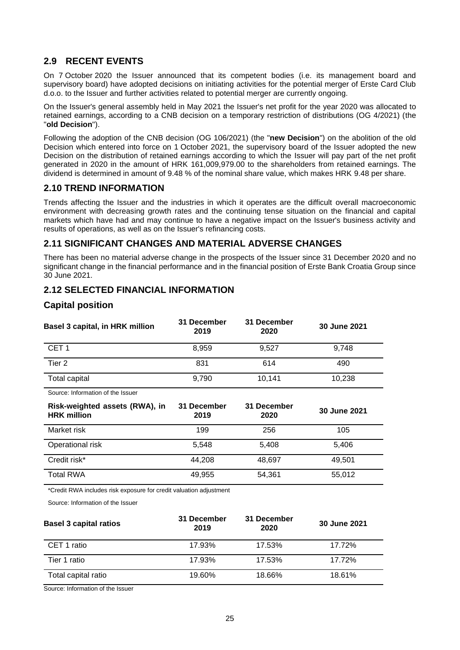## <span id="page-24-0"></span>**2.9 RECENT EVENTS**

On 7 October 2020 the Issuer announced that its competent bodies (i.e. its management board and supervisory board) have adopted decisions on initiating activities for the potential merger of Erste Card Club d.o.o. to the Issuer and further activities related to potential merger are currently ongoing.

On the Issuer's general assembly held in May 2021 the Issuer's net profit for the year 2020 was allocated to retained earnings, according to a CNB decision on a temporary restriction of distributions (OG 4/2021) (the "**old Decision**").

Following the adoption of the CNB decision (OG 106/2021) (the "**new Decision**") on the abolition of the old Decision which entered into force on 1 October 2021, the supervisory board of the Issuer adopted the new Decision on the distribution of retained earnings according to which the Issuer will pay part of the net profit generated in 2020 in the amount of HRK 161,009,979.00 to the shareholders from retained earnings. The dividend is determined in amount of 9.48 % of the nominal share value, which makes HRK 9.48 per share.

## <span id="page-24-1"></span>**2.10 TREND INFORMATION**

Trends affecting the Issuer and the industries in which it operates are the difficult overall macroeconomic environment with decreasing growth rates and the continuing tense situation on the financial and capital markets which have had and may continue to have a negative impact on the Issuer's business activity and results of operations, as well as on the Issuer's refinancing costs.

## <span id="page-24-2"></span>**2.11 SIGNIFICANT CHANGES AND MATERIAL ADVERSE CHANGES**

There has been no material adverse change in the prospects of the Issuer since 31 December 2020 and no significant change in the financial performance and in the financial position of Erste Bank Croatia Group since 30 June 2021.

## <span id="page-24-3"></span>**2.12 SELECTED FINANCIAL INFORMATION**

## **Capital position**

| Basel 3 capital, in HRK million                      | 31 December<br>2019 | 31 December<br>2020 | 30 June 2021 |
|------------------------------------------------------|---------------------|---------------------|--------------|
| CET <sub>1</sub>                                     | 8,959               | 9,527               | 9,748        |
| Tier 2                                               | 831                 | 614                 | 490          |
| Total capital                                        | 9,790               | 10,141              | 10,238       |
| Source: Information of the Issuer                    |                     |                     |              |
|                                                      |                     |                     |              |
| Risk-weighted assets (RWA), in<br><b>HRK</b> million | 31 December<br>2019 | 31 December<br>2020 | 30 June 2021 |
| Market risk                                          | 199                 | 256                 | 105          |
| Operational risk                                     | 5,548               | 5,408               | 5,406        |
| Credit risk*                                         | 44,208              | 48,697              | 49,501       |

\*Credit RWA includes risk exposure for credit valuation adjustment

Source: Information of the Issuer

| <b>Basel 3 capital ratios</b> | 31 December<br>2019 | 31 December<br>2020 | 30 June 2021 |
|-------------------------------|---------------------|---------------------|--------------|
| CET 1 ratio                   | 17.93%              | 17.53%              | 17.72%       |
| Tier 1 ratio                  | 17.93%              | 17.53%              | 17.72%       |
| Total capital ratio           | 19.60%              | 18.66%              | 18.61%       |

Source: Information of the Issuer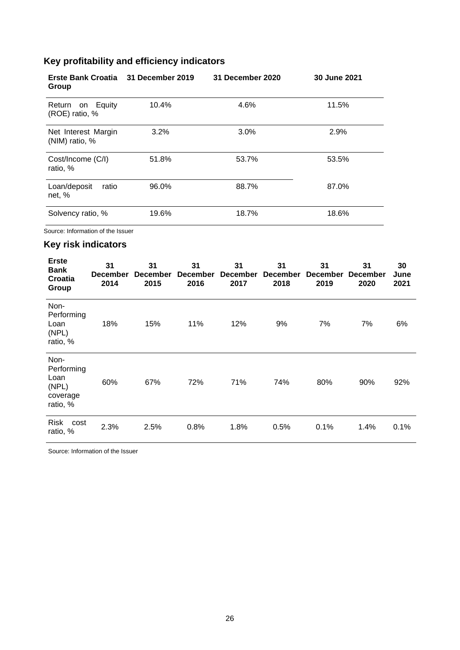# **Key profitability and efficiency indicators**

| Erste Bank Croatia 31 December 2019<br>Group |       | 31 December 2020 | 30 June 2021 |
|----------------------------------------------|-------|------------------|--------------|
| on Equity<br>Return<br>(ROE) ratio, %        | 10.4% | 4.6%             | 11.5%        |
| Net Interest Margin<br>(NIM) ratio, %        | 3.2%  | 3.0%             | 2.9%         |
| Cost/Income (C/I)<br>ratio, %                | 51.8% | 53.7%            | 53.5%        |
| Loan/deposit<br>ratio<br>net, %              | 96.0% | 88.7%            | 87.0%        |
| Solvency ratio, %                            | 19.6% | 18.7%            | 18.6%        |

Source: Information of the Issuer

## **Key risk indicators**

| <b>Erste</b><br>Bank<br>Croatia<br>Group                    | 31<br><b>December</b><br>2014 | 31<br><b>December</b><br>2015 | 31<br><b>December</b><br>2016 | 31<br><b>December</b><br>2017 | 31<br><b>December</b><br>2018 | 31<br><b>December</b><br>2019 | 31<br><b>December</b><br>2020 | 30<br>June<br>2021 |
|-------------------------------------------------------------|-------------------------------|-------------------------------|-------------------------------|-------------------------------|-------------------------------|-------------------------------|-------------------------------|--------------------|
| Non-<br>Performing<br>Loan<br>(NPL)<br>ratio, %             | 18%                           | 15%                           | 11%                           | 12%                           | 9%                            | 7%                            | 7%                            | 6%                 |
| Non-<br>Performing<br>Loan<br>(NPL)<br>coverage<br>ratio, % | 60%                           | 67%                           | 72%                           | 71%                           | 74%                           | 80%                           | 90%                           | 92%                |
| <b>Risk</b><br>cost<br>ratio, %                             | 2.3%                          | 2.5%                          | 0.8%                          | 1.8%                          | 0.5%                          | 0.1%                          | 1.4%                          | 0.1%               |

 $\mathbb{R}^2$ 

Source: Information of the Issuer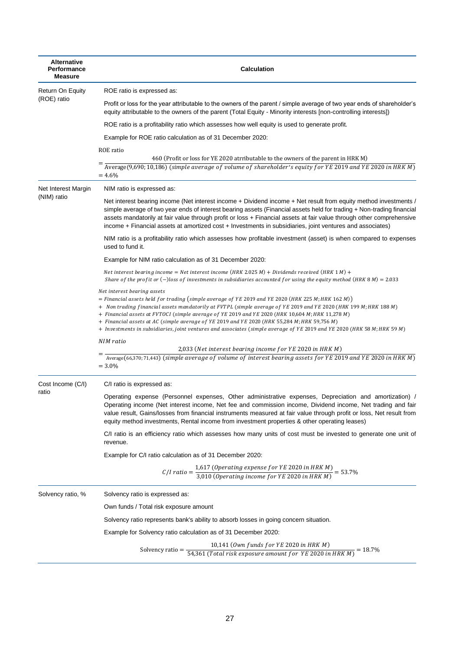| <b>Alternative</b><br>Performance<br>Measure | <b>Calculation</b>                                                                                                                                                                                                                                                                                                                                                                                                                                                                                                                                                                     |
|----------------------------------------------|----------------------------------------------------------------------------------------------------------------------------------------------------------------------------------------------------------------------------------------------------------------------------------------------------------------------------------------------------------------------------------------------------------------------------------------------------------------------------------------------------------------------------------------------------------------------------------------|
| Return On Equity                             | ROE ratio is expressed as:                                                                                                                                                                                                                                                                                                                                                                                                                                                                                                                                                             |
| (ROE) ratio                                  | Profit or loss for the year attributable to the owners of the parent / simple average of two year ends of shareholder's<br>equity attributable to the owners of the parent (Total Equity - Minority interests [non-controlling interests])                                                                                                                                                                                                                                                                                                                                             |
|                                              | ROE ratio is a profitability ratio which assesses how well equity is used to generate profit.                                                                                                                                                                                                                                                                                                                                                                                                                                                                                          |
|                                              | Example for ROE ratio calculation as of 31 December 2020:                                                                                                                                                                                                                                                                                                                                                                                                                                                                                                                              |
|                                              | ROE ratio<br>460 (Profit or loss for YE 2020 atrributable to the owners of the parent in HRK M)<br>Average(9,690; 10,186) (simple average of volume of shareholder's equity for YE 2019 and YE 2020 in HRK M)<br>$=4.6%$                                                                                                                                                                                                                                                                                                                                                               |
| Net Interest Margin                          | NIM ratio is expressed as:                                                                                                                                                                                                                                                                                                                                                                                                                                                                                                                                                             |
| (NIM) ratio                                  | Net interest bearing income (Net interest income + Dividend income + Net result from equity method investments /<br>simple average of two year ends of interest bearing assets (Financial assets held for trading + Non-trading financial<br>assets mandatorily at fair value through profit or loss + Financial assets at fair value through other comprehensive<br>income + Financial assets at amortized cost + Investments in subsidiaries, joint ventures and associates)                                                                                                         |
|                                              | NIM ratio is a profitability ratio which assesses how profitable investment (asset) is when compared to expenses<br>used to fund it.                                                                                                                                                                                                                                                                                                                                                                                                                                                   |
|                                              | Example for NIM ratio calculation as of 31 December 2020:                                                                                                                                                                                                                                                                                                                                                                                                                                                                                                                              |
|                                              | Net interest bearing income = Net interest income (HRK 2.025 M) + Dividends received (HRK 1 M) +<br>Share of the profit or $(-)$ loss of investments in subsidiaries accounted for using the equity method (HRK 8 M) = 2.033                                                                                                                                                                                                                                                                                                                                                           |
|                                              | Net interest bearing assets<br>= Financial assets held for trading (simple average of YE 2019 and YE 2020 (HRK 225 M; HRK 162 M))<br>+ Non trading financial assets mandatorily at FVTPL (simple average of YE 2019 and YE 2020 (HRK 199 M; HRK 188 M)<br>+ Financial assets at FVTOCI (simple average of YE 2019 and YE 2020 (HRK 10,604 M; HRK 11,278 M)<br>+ Financial assets at AC (simple average of YE 2019 and YE 2020 (HRK 55,284 M; HRK 59,756 M)<br>+ Investments in subsidiaries, joint ventures and associates (simple average of YE 2019 and YE 2020 (HRK 58 M; HRK 59 M) |
|                                              | NIM ratio                                                                                                                                                                                                                                                                                                                                                                                                                                                                                                                                                                              |
|                                              | 2,033 (Net interest bearing income for YE 2020 in HRK M)<br>Average(66,370; 71,443) (simple average of volume of interest bearing assets for YE 2019 and YE 2020 in HRK $M$ )<br>$= 3.0\%$                                                                                                                                                                                                                                                                                                                                                                                             |
| Cost Income (C/I)                            | C/I ratio is expressed as:                                                                                                                                                                                                                                                                                                                                                                                                                                                                                                                                                             |
| ratio                                        | Operating expense (Personnel expenses, Other administrative expenses, Depreciation and amortization) /<br>Operating income (Net interest income, Net fee and commission income, Dividend income, Net trading and fair<br>value result, Gains/losses from financial instruments measured at fair value through profit or loss, Net result from<br>equity method investments, Rental income from investment properties & other operating leases)                                                                                                                                         |
|                                              | C/I ratio is an efficiency ratio which assesses how many units of cost must be invested to generate one unit of<br>revenue.                                                                                                                                                                                                                                                                                                                                                                                                                                                            |
|                                              | Example for C/I ratio calculation as of 31 December 2020:                                                                                                                                                                                                                                                                                                                                                                                                                                                                                                                              |
|                                              | C/I ratio = $\frac{1,617}{3,010}$ (Operating expense for YE 2020 in HRK M) = 53.7%                                                                                                                                                                                                                                                                                                                                                                                                                                                                                                     |
| Solvency ratio, %                            | Solvency ratio is expressed as:                                                                                                                                                                                                                                                                                                                                                                                                                                                                                                                                                        |
|                                              | Own funds / Total risk exposure amount                                                                                                                                                                                                                                                                                                                                                                                                                                                                                                                                                 |
|                                              | Solvency ratio represents bank's ability to absorb losses in going concern situation.                                                                                                                                                                                                                                                                                                                                                                                                                                                                                                  |
|                                              | Example for Solvency ratio calculation as of 31 December 2020:                                                                                                                                                                                                                                                                                                                                                                                                                                                                                                                         |
|                                              | Solvency ratio = $\frac{10,141}{54,361}$ (Own funds for YE 2020 in HRK M) = 18.7%<br>Solvency ratio = $\frac{1}{54,361}$ (Total risk exposure amount for YE 2020 in HRK M)                                                                                                                                                                                                                                                                                                                                                                                                             |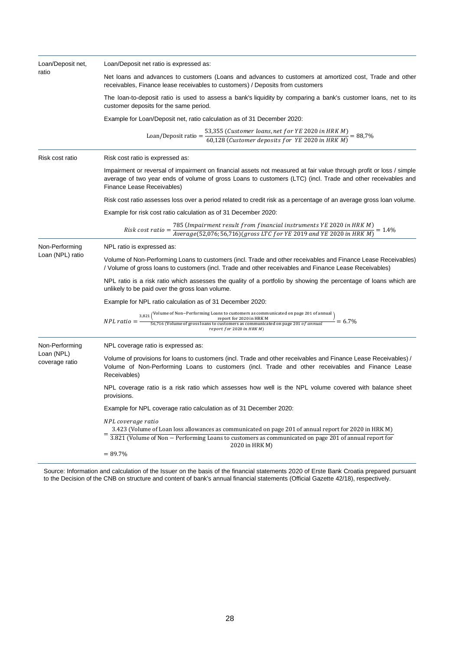| Loan/Deposit net,<br>ratio   | Loan/Deposit net ratio is expressed as:                                                                                                                                                                                                                          |  |  |
|------------------------------|------------------------------------------------------------------------------------------------------------------------------------------------------------------------------------------------------------------------------------------------------------------|--|--|
|                              | Net loans and advances to customers (Loans and advances to customers at amortized cost, Trade and other<br>receivables, Finance lease receivables to customers) / Deposits from customers                                                                        |  |  |
|                              | The loan-to-deposit ratio is used to assess a bank's liquidity by comparing a bank's customer loans, net to its<br>customer deposits for the same period.                                                                                                        |  |  |
|                              | Example for Loan/Deposit net, ratio calculation as of 31 December 2020:                                                                                                                                                                                          |  |  |
|                              | Loan/Deposit ratio = $\frac{53,355}{60,128}$ (Customer loans, net for YE 2020 in HRK M) = 88,7%                                                                                                                                                                  |  |  |
| Risk cost ratio              | Risk cost ratio is expressed as:                                                                                                                                                                                                                                 |  |  |
|                              | Impairment or reversal of impairment on financial assets not measured at fair value through profit or loss / simple<br>average of two year ends of volume of gross Loans to customers (LTC) (incl. Trade and other receivables and<br>Finance Lease Receivables) |  |  |
|                              | Risk cost ratio assesses loss over a period related to credit risk as a percentage of an average gross loan volume.                                                                                                                                              |  |  |
|                              | Example for risk cost ratio calculation as of 31 December 2020:                                                                                                                                                                                                  |  |  |
|                              | 785 (Impairment result from financial instruments YE 2020 in HRK M)<br>$Average(52,076; 56,716) (gross LTC for YE 2019 and YE 2020 in HRK M) = 1.4\%$<br>$Risk cost ratio =$                                                                                     |  |  |
| Non-Performing               | NPL ratio is expressed as:                                                                                                                                                                                                                                       |  |  |
| Loan (NPL) ratio             | Volume of Non-Performing Loans to customers (incl. Trade and other receivables and Finance Lease Receivables)<br>/ Volume of gross loans to customers (incl. Trade and other receivables and Finance Lease Receivables)                                          |  |  |
|                              | NPL ratio is a risk ratio which assesses the quality of a portfolio by showing the percentage of loans which are<br>unlikely to be paid over the gross loan volume.                                                                                              |  |  |
|                              | Example for NPL ratio calculation as of 31 December 2020:                                                                                                                                                                                                        |  |  |
|                              | $\frac{3{,}821}{56{,}716}$ (Volume of Non-Performing Loans to customers as communicated on page 201 of annual)<br>56,716 (Volume of gross loans to customers as communicated on page 201 of annual)<br>$= 6.7\%$<br>$NPL ratio = -$<br>report for 2020 in HRK M) |  |  |
| Non-Performing               | NPL coverage ratio is expressed as:                                                                                                                                                                                                                              |  |  |
| Loan (NPL)<br>coverage ratio | Volume of provisions for loans to customers (incl. Trade and other receivables and Finance Lease Receivables) /<br>Volume of Non-Performing Loans to customers (incl. Trade and other receivables and Finance Lease<br>Receivables)                              |  |  |
|                              | NPL coverage ratio is a risk ratio which assesses how well is the NPL volume covered with balance sheet<br>provisions.                                                                                                                                           |  |  |
|                              | Example for NPL coverage ratio calculation as of 31 December 2020:                                                                                                                                                                                               |  |  |
|                              | NPL coverage ratio<br>3.423 (Volume of Loan loss allowances as communicated on page 201 of annual report for 2020 in HRK M)<br>3.821 (Volume of Non - Performing Loans to customers as communicated on page 201 of annual report for                             |  |  |
|                              | 2020 in HRK M)<br>$= 89.7\%$                                                                                                                                                                                                                                     |  |  |

Source: Information and calculation of the Issuer on the basis of the financial statements 2020 of Erste Bank Croatia prepared pursuant to the Decision of the CNB on structure and content of bank's annual financial statements (Official Gazette 42/18), respectively.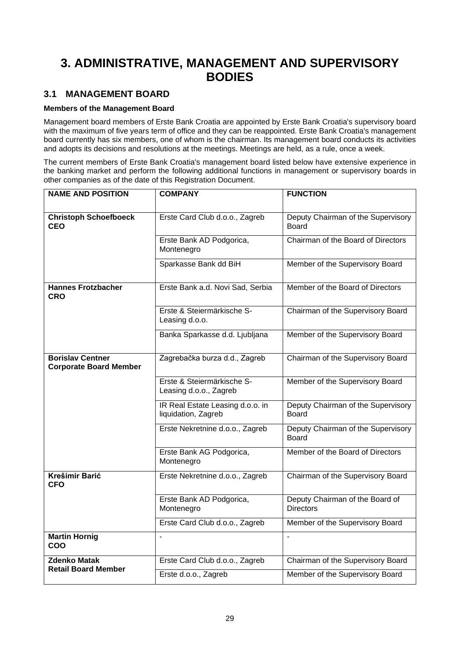# <span id="page-28-0"></span>**3. ADMINISTRATIVE, MANAGEMENT AND SUPERVISORY BODIES**

## <span id="page-28-1"></span>**3.1 MANAGEMENT BOARD**

### **Members of the Management Board**

Management board members of Erste Bank Croatia are appointed by Erste Bank Croatia's supervisory board with the maximum of five years term of office and they can be reappointed. Erste Bank Croatia's management board currently has six members, one of whom is the chairman. Its management board conducts its activities and adopts its decisions and resolutions at the meetings. Meetings are held, as a rule, once a week.

The current members of Erste Bank Croatia's management board listed below have extensive experience in the banking market and perform the following additional functions in management or supervisory boards in other companies as of the date of this Registration Document.

| <b>NAME AND POSITION</b>                                 | <b>COMPANY</b>                                          | <b>FUNCTION</b>                                     |
|----------------------------------------------------------|---------------------------------------------------------|-----------------------------------------------------|
| <b>Christoph Schoefboeck</b><br>CEO                      | Erste Card Club d.o.o., Zagreb                          | Deputy Chairman of the Supervisory<br>Board         |
|                                                          | Erste Bank AD Podgorica,<br>Montenegro                  | Chairman of the Board of Directors                  |
|                                                          | Sparkasse Bank dd BiH                                   | Member of the Supervisory Board                     |
| <b>Hannes Frotzbacher</b><br>CRO                         | Erste Bank a.d. Novi Sad, Serbia                        | Member of the Board of Directors                    |
|                                                          | Erste & Steiermärkische S-<br>Leasing d.o.o.            | Chairman of the Supervisory Board                   |
|                                                          | Banka Sparkasse d.d. Ljubljana                          | Member of the Supervisory Board                     |
| <b>Borislav Centner</b><br><b>Corporate Board Member</b> | Zagrebačka burza d.d., Zagreb                           | Chairman of the Supervisory Board                   |
|                                                          | Erste & Steiermärkische S-<br>Leasing d.o.o., Zagreb    | Member of the Supervisory Board                     |
|                                                          | IR Real Estate Leasing d.o.o. in<br>liquidation, Zagreb | Deputy Chairman of the Supervisory<br>Board         |
|                                                          | Erste Nekretnine d.o.o., Zagreb                         | Deputy Chairman of the Supervisory<br>Board         |
|                                                          | Erste Bank AG Podgorica,<br>Montenegro                  | Member of the Board of Directors                    |
| <b>Krešimir Barić</b><br>CFO                             | Erste Nekretnine d.o.o., Zagreb                         | Chairman of the Supervisory Board                   |
|                                                          | Erste Bank AD Podgorica,<br>Montenegro                  | Deputy Chairman of the Board of<br><b>Directors</b> |
|                                                          | Erste Card Club d.o.o., Zagreb                          | Member of the Supervisory Board                     |
| <b>Martin Hornig</b><br>COO                              | $\overline{a}$                                          | $\overline{a}$                                      |
| <b>Zdenko Matak</b>                                      | Erste Card Club d.o.o., Zagreb                          | Chairman of the Supervisory Board                   |
| <b>Retail Board Member</b>                               | Erste d.o.o., Zagreb                                    | Member of the Supervisory Board                     |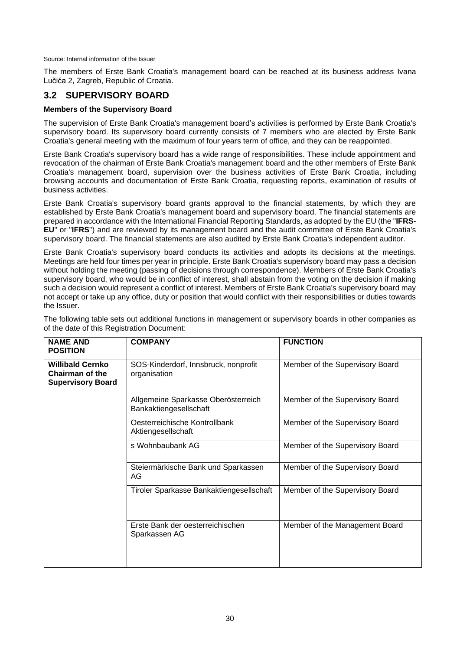Source: Internal information of the Issuer

The members of Erste Bank Croatia's management board can be reached at its business address Ivana Lučića 2, Zagreb, Republic of Croatia.

## <span id="page-29-0"></span>**3.2 SUPERVISORY BOARD**

### **Members of the Supervisory Board**

The supervision of Erste Bank Croatia's management board's activities is performed by Erste Bank Croatia's supervisory board. Its supervisory board currently consists of 7 members who are elected by Erste Bank Croatia's general meeting with the maximum of four years term of office, and they can be reappointed.

Erste Bank Croatia's supervisory board has a wide range of responsibilities. These include appointment and revocation of the chairman of Erste Bank Croatia's management board and the other members of Erste Bank Croatia's management board, supervision over the business activities of Erste Bank Croatia, including browsing accounts and documentation of Erste Bank Croatia, requesting reports, examination of results of business activities.

Erste Bank Croatia's supervisory board grants approval to the financial statements, by which they are established by Erste Bank Croatia's management board and supervisory board. The financial statements are prepared in accordance with the International Financial Reporting Standards, as adopted by the EU (the "**IFRS-EU**" or "**IFRS**") and are reviewed by its management board and the audit committee of Erste Bank Croatia's supervisory board. The financial statements are also audited by Erste Bank Croatia's independent auditor.

Erste Bank Croatia's supervisory board conducts its activities and adopts its decisions at the meetings. Meetings are held four times per year in principle. Erste Bank Croatia's supervisory board may pass a decision without holding the meeting (passing of decisions through correspondence). Members of Erste Bank Croatia's supervisory board, who would be in conflict of interest, shall abstain from the voting on the decision if making such a decision would represent a conflict of interest. Members of Erste Bank Croatia's supervisory board may not accept or take up any office, duty or position that would conflict with their responsibilities or duties towards the Issuer.

| <b>NAME AND</b><br><b>POSITION</b>                                     | <b>COMPANY</b>                                                | <b>FUNCTION</b>                 |
|------------------------------------------------------------------------|---------------------------------------------------------------|---------------------------------|
| <b>Willibald Cernko</b><br>Chairman of the<br><b>Supervisory Board</b> | SOS-Kinderdorf, Innsbruck, nonprofit<br>organisation          | Member of the Supervisory Board |
|                                                                        | Allgemeine Sparkasse Oberösterreich<br>Bankaktiengesellschaft | Member of the Supervisory Board |
|                                                                        | Oesterreichische Kontrollbank<br>Aktiengesellschaft           | Member of the Supervisory Board |
|                                                                        | s Wohnbaubank AG                                              | Member of the Supervisory Board |
|                                                                        | Steiermärkische Bank und Sparkassen<br>AG                     | Member of the Supervisory Board |
|                                                                        | Tiroler Sparkasse Bankaktiengesellschaft                      | Member of the Supervisory Board |
|                                                                        | Erste Bank der oesterreichischen<br>Sparkassen AG             | Member of the Management Board  |

The following table sets out additional functions in management or supervisory boards in other companies as of the date of this Registration Document: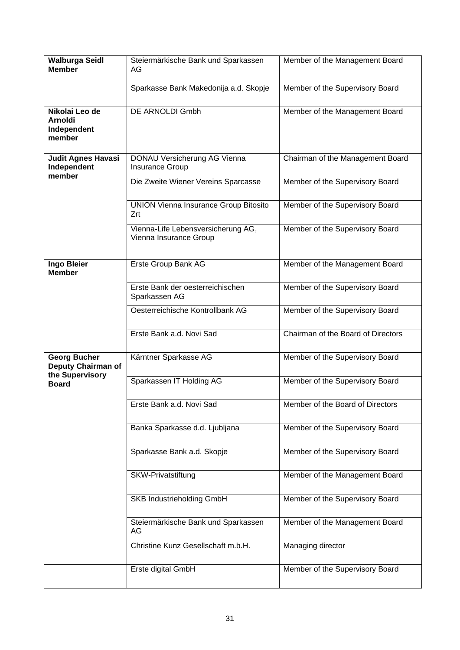| <b>Walburga Seidl</b><br><b>Member</b>                    | Steiermärkische Bank und Sparkassen<br>AG                    | Member of the Management Board     |
|-----------------------------------------------------------|--------------------------------------------------------------|------------------------------------|
|                                                           | Sparkasse Bank Makedonija a.d. Skopje                        | Member of the Supervisory Board    |
| Nikolai Leo de<br><b>Arnoldi</b><br>Independent<br>member | <b>DE ARNOLDI Gmbh</b>                                       | Member of the Management Board     |
| <b>Judit Agnes Havasi</b><br>Independent<br>member        | DONAU Versicherung AG Vienna<br><b>Insurance Group</b>       | Chairman of the Management Board   |
|                                                           | Die Zweite Wiener Vereins Sparcasse                          | Member of the Supervisory Board    |
|                                                           | <b>UNION Vienna Insurance Group Bitosito</b><br>Zrt          | Member of the Supervisory Board    |
|                                                           | Vienna-Life Lebensversicherung AG,<br>Vienna Insurance Group | Member of the Supervisory Board    |
| <b>Ingo Bleier</b><br><b>Member</b>                       | Erste Group Bank AG                                          | Member of the Management Board     |
|                                                           | Erste Bank der oesterreichischen<br>Sparkassen AG            | Member of the Supervisory Board    |
|                                                           | Oesterreichische Kontrollbank AG                             | Member of the Supervisory Board    |
|                                                           | Erste Bank a.d. Novi Sad                                     | Chairman of the Board of Directors |
| <b>Georg Bucher</b><br>Deputy Chairman of                 | Kärntner Sparkasse AG                                        | Member of the Supervisory Board    |
| the Supervisory<br><b>Board</b>                           | Sparkassen IT Holding AG                                     | Member of the Supervisory Board    |
|                                                           | Erste Bank a.d. Novi Sad                                     | Member of the Board of Directors   |
|                                                           | Banka Sparkasse d.d. Ljubljana                               | Member of the Supervisory Board    |
|                                                           | Sparkasse Bank a.d. Skopje                                   | Member of the Supervisory Board    |
|                                                           | <b>SKW-Privatstiftung</b>                                    | Member of the Management Board     |
|                                                           | SKB Industrieholding GmbH                                    | Member of the Supervisory Board    |
|                                                           | Steiermärkische Bank und Sparkassen<br>AG                    | Member of the Management Board     |
|                                                           | Christine Kunz Gesellschaft m.b.H.                           | Managing director                  |
|                                                           | Erste digital GmbH                                           | Member of the Supervisory Board    |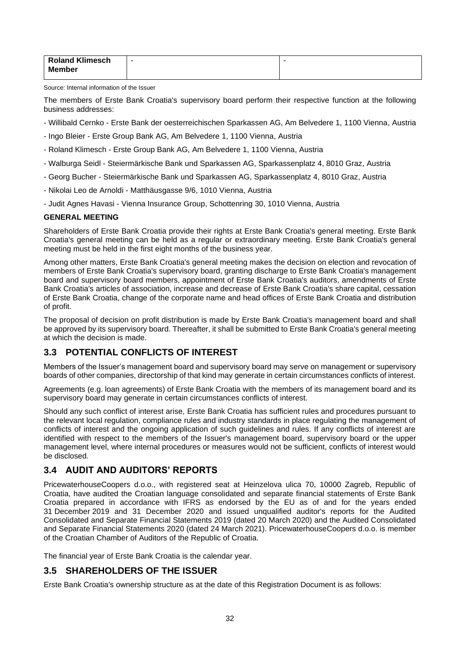| <b>Roland Klimesch</b> | $\overline{\phantom{a}}$ |
|------------------------|--------------------------|
| <b>Member</b>          |                          |
|                        |                          |

Source: Internal information of the Issuer

The members of Erste Bank Croatia's supervisory board perform their respective function at the following business addresses:

- Willibald Cernko Erste Bank der oesterreichischen Sparkassen AG, Am Belvedere 1, 1100 Vienna, Austria
- Ingo Bleier Erste Group Bank AG, Am Belvedere 1, 1100 Vienna, Austria
- Roland Klimesch Erste Group Bank AG, Am Belvedere 1, 1100 Vienna, Austria
- Walburga Seidl Steiermärkische Bank und Sparkassen AG, Sparkassenplatz 4, 8010 Graz, Austria
- Georg Bucher Steiermärkische Bank und Sparkassen AG, Sparkassenplatz 4, 8010 Graz, Austria
- Nikolai Leo de Arnoldi Matthäusgasse 9/6, 1010 Vienna, Austria
- Judit Agnes Havasi Vienna Insurance Group, Schottenring 30, 1010 Vienna, Austria

### **GENERAL MEETING**

Shareholders of Erste Bank Croatia provide their rights at Erste Bank Croatia's general meeting. Erste Bank Croatia's general meeting can be held as a regular or extraordinary meeting. Erste Bank Croatia's general meeting must be held in the first eight months of the business year.

Among other matters, Erste Bank Croatia's general meeting makes the decision on election and revocation of members of Erste Bank Croatia's supervisory board, granting discharge to Erste Bank Croatia's management board and supervisory board members, appointment of Erste Bank Croatia's auditors, amendments of Erste Bank Croatia's articles of association, increase and decrease of Erste Bank Croatia's share capital, cessation of Erste Bank Croatia, change of the corporate name and head offices of Erste Bank Croatia and distribution of profit.

The proposal of decision on profit distribution is made by Erste Bank Croatia's management board and shall be approved by its supervisory board. Thereafter, it shall be submitted to Erste Bank Croatia's general meeting at which the decision is made.

## <span id="page-31-0"></span>**3.3 POTENTIAL CONFLICTS OF INTEREST**

Members of the Issuer's management board and supervisory board may serve on management or supervisory boards of other companies, directorship of that kind may generate in certain circumstances conflicts of interest.

Agreements (e.g. loan agreements) of Erste Bank Croatia with the members of its management board and its supervisory board may generate in certain circumstances conflicts of interest.

Should any such conflict of interest arise, Erste Bank Croatia has sufficient rules and procedures pursuant to the relevant local regulation, compliance rules and industry standards in place regulating the management of conflicts of interest and the ongoing application of such guidelines and rules. If any conflicts of interest are identified with respect to the members of the Issuer's management board, supervisory board or the upper management level, where internal procedures or measures would not be sufficient, conflicts of interest would be disclosed.

## <span id="page-31-1"></span>**3.4 AUDIT AND AUDITORS' REPORTS**

PricewaterhouseCoopers d.o.o., with registered seat at Heinzelova ulica 70, 10000 Zagreb, Republic of Croatia, have audited the Croatian language consolidated and separate financial statements of Erste Bank Croatia prepared in accordance with IFRS as endorsed by the EU as of and for the years ended 31 December 2019 and 31 December 2020 and issued unqualified auditor's reports for the Audited Consolidated and Separate Financial Statements 2019 (dated 20 March 2020) and the Audited Consolidated and Separate Financial Statements 2020 (dated 24 March 2021). PricewaterhouseCoopers d.o.o. is member of the Croatian Chamber of Auditors of the Republic of Croatia.

The financial year of Erste Bank Croatia is the calendar year.

## <span id="page-31-2"></span>**3.5 SHAREHOLDERS OF THE ISSUER**

Erste Bank Croatia's ownership structure as at the date of this Registration Document is as follows: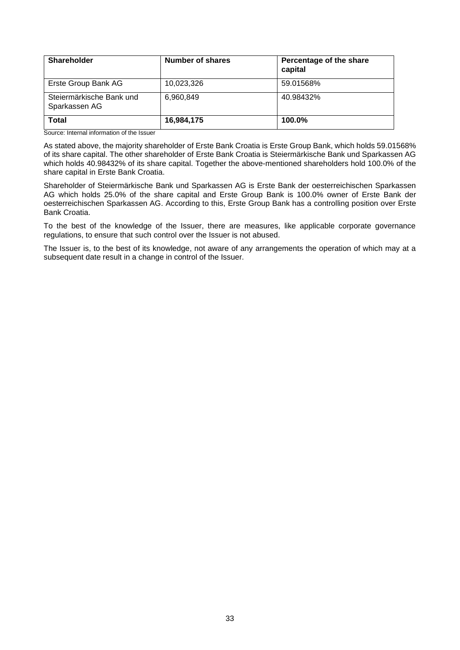| <b>Shareholder</b>                        | Number of shares | Percentage of the share<br>capital |
|-------------------------------------------|------------------|------------------------------------|
| Erste Group Bank AG                       | 10,023,326       | 59.01568%                          |
| Steiermärkische Bank und<br>Sparkassen AG | 6,960,849        | 40.98432%                          |
| <b>Total</b>                              | 16,984,175       | $100.0\%$                          |

Source: Internal information of the Issuer

As stated above, the majority shareholder of Erste Bank Croatia is Erste Group Bank, which holds 59.01568% of its share capital. The other shareholder of Erste Bank Croatia is Steiermärkische Bank und Sparkassen AG which holds 40.98432% of its share capital. Together the above-mentioned shareholders hold 100.0% of the share capital in Erste Bank Croatia.

Shareholder of Steiermärkische Bank und Sparkassen AG is Erste Bank der oesterreichischen Sparkassen AG which holds 25.0% of the share capital and Erste Group Bank is 100.0% owner of Erste Bank der oesterreichischen Sparkassen AG. According to this, Erste Group Bank has a controlling position over Erste Bank Croatia.

To the best of the knowledge of the Issuer, there are measures, like applicable corporate governance regulations, to ensure that such control over the Issuer is not abused.

The Issuer is, to the best of its knowledge, not aware of any arrangements the operation of which may at a subsequent date result in a change in control of the Issuer.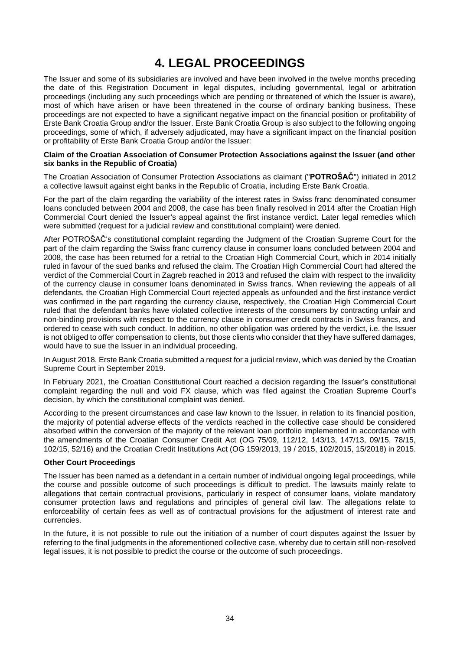# **4. LEGAL PROCEEDINGS**

<span id="page-33-0"></span>The Issuer and some of its subsidiaries are involved and have been involved in the twelve months preceding the date of this Registration Document in legal disputes, including governmental, legal or arbitration proceedings (including any such proceedings which are pending or threatened of which the Issuer is aware), most of which have arisen or have been threatened in the course of ordinary banking business. These proceedings are not expected to have a significant negative impact on the financial position or profitability of Erste Bank Croatia Group and/or the Issuer. Erste Bank Croatia Group is also subject to the following ongoing proceedings, some of which, if adversely adjudicated, may have a significant impact on the financial position or profitability of Erste Bank Croatia Group and/or the Issuer:

### **Claim of the Croatian Association of Consumer Protection Associations against the Issuer (and other six banks in the Republic of Croatia)**

The Croatian Association of Consumer Protection Associations as claimant ("**POTROŠAČ**") initiated in 2012 a collective lawsuit against eight banks in the Republic of Croatia, including Erste Bank Croatia.

For the part of the claim regarding the variability of the interest rates in Swiss franc denominated consumer loans concluded between 2004 and 2008, the case has been finally resolved in 2014 after the Croatian High Commercial Court denied the Issuer's appeal against the first instance verdict. Later legal remedies which were submitted (request for a judicial review and constitutional complaint) were denied.

After POTROŠAČ's constitutional complaint regarding the Judgment of the Croatian Supreme Court for the part of the claim regarding the Swiss franc currency clause in consumer loans concluded between 2004 and 2008, the case has been returned for a retrial to the Croatian High Commercial Court, which in 2014 initially ruled in favour of the sued banks and refused the claim. The Croatian High Commercial Court had altered the verdict of the Commercial Court in Zagreb reached in 2013 and refused the claim with respect to the invalidity of the currency clause in consumer loans denominated in Swiss francs. When reviewing the appeals of all defendants, the Croatian High Commercial Court rejected appeals as unfounded and the first instance verdict was confirmed in the part regarding the currency clause, respectively, the Croatian High Commercial Court ruled that the defendant banks have violated collective interests of the consumers by contracting unfair and non-binding provisions with respect to the currency clause in consumer credit contracts in Swiss francs, and ordered to cease with such conduct. In addition, no other obligation was ordered by the verdict, i.e. the Issuer is not obliged to offer compensation to clients, but those clients who consider that they have suffered damages, would have to sue the Issuer in an individual proceeding.

In August 2018, Erste Bank Croatia submitted a request for a judicial review, which was denied by the Croatian Supreme Court in September 2019.

In February 2021, the Croatian Constitutional Court reached a decision regarding the Issuer's constitutional complaint regarding the null and void FX clause, which was filed against the Croatian Supreme Court's decision, by which the constitutional complaint was denied.

According to the present circumstances and case law known to the Issuer, in relation to its financial position, the majority of potential adverse effects of the verdicts reached in the collective case should be considered absorbed within the conversion of the majority of the relevant loan portfolio implemented in accordance with the amendments of the Croatian Consumer Credit Act (OG 75/09, 112/12, 143/13, 147/13, 09/15, 78/15, 102/15, 52/16) and the Croatian Credit Institutions Act (OG 159/2013, 19 / 2015, 102/2015, 15/2018) in 2015.

### **Other Court Proceedings**

The Issuer has been named as a defendant in a certain number of individual ongoing legal proceedings, while the course and possible outcome of such proceedings is difficult to predict. The lawsuits mainly relate to allegations that certain contractual provisions, particularly in respect of consumer loans, violate mandatory consumer protection laws and regulations and principles of general civil law. The allegations relate to enforceability of certain fees as well as of contractual provisions for the adjustment of interest rate and currencies.

In the future, it is not possible to rule out the initiation of a number of court disputes against the Issuer by referring to the final judgments in the aforementioned collective case, whereby due to certain still non-resolved legal issues, it is not possible to predict the course or the outcome of such proceedings.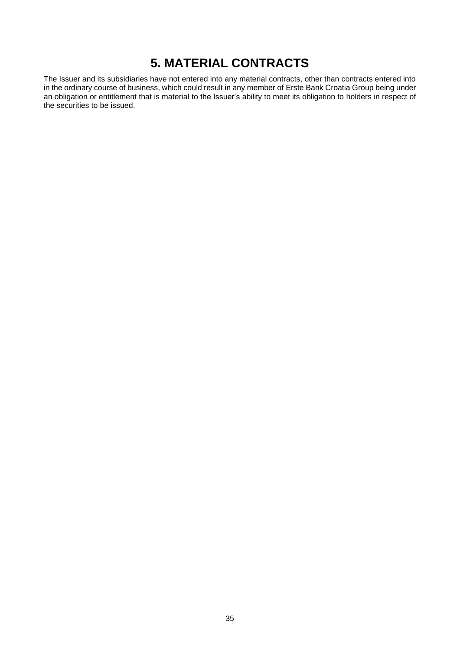# **5. MATERIAL CONTRACTS**

<span id="page-34-0"></span>The Issuer and its subsidiaries have not entered into any material contracts, other than contracts entered into in the ordinary course of business, which could result in any member of Erste Bank Croatia Group being under an obligation or entitlement that is material to the Issuer's ability to meet its obligation to holders in respect of the securities to be issued.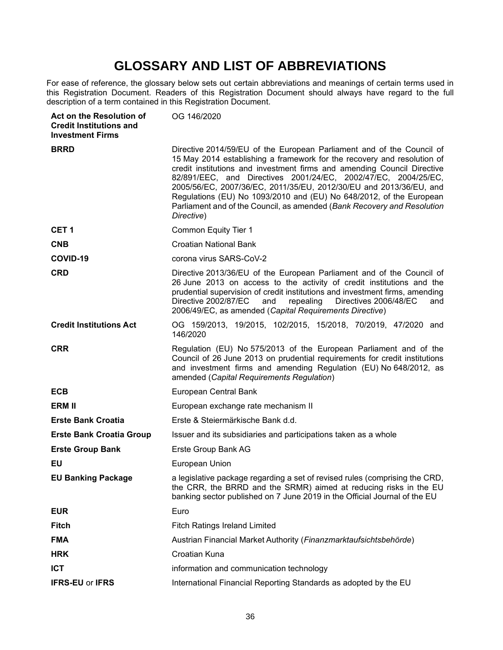# **GLOSSARY AND LIST OF ABBREVIATIONS**

For ease of reference, the glossary below sets out certain abbreviations and meanings of certain terms used in this Registration Document. Readers of this Registration Document should always have regard to the full description of a term contained in this Registration Document.

<span id="page-35-0"></span>

| Act on the Resolution of<br><b>Credit Institutions and</b><br><b>Investment Firms</b> | OG 146/2020                                                                                                                                                                                                                                                                                                                                                                                                                                                                                                                         |
|---------------------------------------------------------------------------------------|-------------------------------------------------------------------------------------------------------------------------------------------------------------------------------------------------------------------------------------------------------------------------------------------------------------------------------------------------------------------------------------------------------------------------------------------------------------------------------------------------------------------------------------|
| <b>BRRD</b>                                                                           | Directive 2014/59/EU of the European Parliament and of the Council of<br>15 May 2014 establishing a framework for the recovery and resolution of<br>credit institutions and investment firms and amending Council Directive<br>82/891/EEC, and Directives 2001/24/EC, 2002/47/EC, 2004/25/EC,<br>2005/56/EC, 2007/36/EC, 2011/35/EU, 2012/30/EU and 2013/36/EU, and<br>Regulations (EU) No 1093/2010 and (EU) No 648/2012, of the European<br>Parliament and of the Council, as amended (Bank Recovery and Resolution<br>Directive) |
| CET <sub>1</sub>                                                                      | Common Equity Tier 1                                                                                                                                                                                                                                                                                                                                                                                                                                                                                                                |
| <b>CNB</b>                                                                            | <b>Croatian National Bank</b>                                                                                                                                                                                                                                                                                                                                                                                                                                                                                                       |
| COVID-19                                                                              | corona virus SARS-CoV-2                                                                                                                                                                                                                                                                                                                                                                                                                                                                                                             |
| <b>CRD</b>                                                                            | Directive 2013/36/EU of the European Parliament and of the Council of<br>26 June 2013 on access to the activity of credit institutions and the<br>prudential supervision of credit institutions and investment firms, amending<br>Directive 2002/87/EC<br>repealing<br>Directives 2006/48/EC<br>and<br>and<br>2006/49/EC, as amended (Capital Requirements Directive)                                                                                                                                                               |
| <b>Credit Institutions Act</b>                                                        | OG 159/2013, 19/2015, 102/2015, 15/2018, 70/2019, 47/2020 and<br>146/2020                                                                                                                                                                                                                                                                                                                                                                                                                                                           |
| <b>CRR</b>                                                                            | Regulation (EU) No 575/2013 of the European Parliament and of the<br>Council of 26 June 2013 on prudential requirements for credit institutions<br>and investment firms and amending Regulation (EU) No 648/2012, as<br>amended (Capital Requirements Regulation)                                                                                                                                                                                                                                                                   |
| <b>ECB</b>                                                                            | European Central Bank                                                                                                                                                                                                                                                                                                                                                                                                                                                                                                               |
| <b>ERM II</b>                                                                         | European exchange rate mechanism II                                                                                                                                                                                                                                                                                                                                                                                                                                                                                                 |
| <b>Erste Bank Croatia</b>                                                             | Erste & Steiermärkische Bank d.d.                                                                                                                                                                                                                                                                                                                                                                                                                                                                                                   |
| <b>Erste Bank Croatia Group</b>                                                       | Issuer and its subsidiaries and participations taken as a whole                                                                                                                                                                                                                                                                                                                                                                                                                                                                     |
| <b>Erste Group Bank</b>                                                               | Erste Group Bank AG                                                                                                                                                                                                                                                                                                                                                                                                                                                                                                                 |
| EU                                                                                    | European Union                                                                                                                                                                                                                                                                                                                                                                                                                                                                                                                      |
| <b>EU Banking Package</b>                                                             | a legislative package regarding a set of revised rules (comprising the CRD,<br>the CRR, the BRRD and the SRMR) aimed at reducing risks in the EU<br>banking sector published on 7 June 2019 in the Official Journal of the EU                                                                                                                                                                                                                                                                                                       |
| <b>EUR</b>                                                                            | Euro                                                                                                                                                                                                                                                                                                                                                                                                                                                                                                                                |
| <b>Fitch</b>                                                                          | <b>Fitch Ratings Ireland Limited</b>                                                                                                                                                                                                                                                                                                                                                                                                                                                                                                |
| <b>FMA</b>                                                                            | Austrian Financial Market Authority (Finanzmarktaufsichtsbehörde)                                                                                                                                                                                                                                                                                                                                                                                                                                                                   |
| <b>HRK</b>                                                                            | Croatian Kuna                                                                                                                                                                                                                                                                                                                                                                                                                                                                                                                       |
| <b>ICT</b>                                                                            | information and communication technology                                                                                                                                                                                                                                                                                                                                                                                                                                                                                            |
| <b>IFRS-EU or IFRS</b>                                                                | International Financial Reporting Standards as adopted by the EU                                                                                                                                                                                                                                                                                                                                                                                                                                                                    |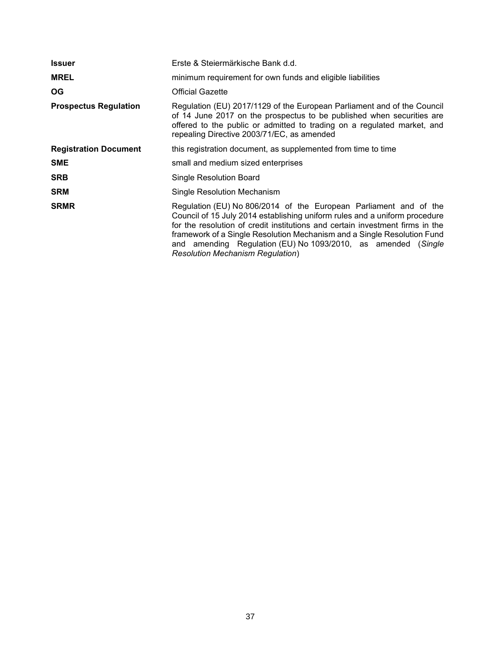| <b>Issuer</b>                | Erste & Steiermärkische Bank d.d.                                                                                                                                                                                                                                                                                                                                                                                        |
|------------------------------|--------------------------------------------------------------------------------------------------------------------------------------------------------------------------------------------------------------------------------------------------------------------------------------------------------------------------------------------------------------------------------------------------------------------------|
| <b>MREL</b>                  | minimum requirement for own funds and eligible liabilities                                                                                                                                                                                                                                                                                                                                                               |
| OG.                          | <b>Official Gazette</b>                                                                                                                                                                                                                                                                                                                                                                                                  |
| <b>Prospectus Regulation</b> | Regulation (EU) 2017/1129 of the European Parliament and of the Council<br>of 14 June 2017 on the prospectus to be published when securities are<br>offered to the public or admitted to trading on a regulated market, and<br>repealing Directive 2003/71/EC, as amended                                                                                                                                                |
| <b>Registration Document</b> | this registration document, as supplemented from time to time                                                                                                                                                                                                                                                                                                                                                            |
| <b>SME</b>                   | small and medium sized enterprises                                                                                                                                                                                                                                                                                                                                                                                       |
| <b>SRB</b>                   | Single Resolution Board                                                                                                                                                                                                                                                                                                                                                                                                  |
| <b>SRM</b>                   | Single Resolution Mechanism                                                                                                                                                                                                                                                                                                                                                                                              |
| <b>SRMR</b>                  | Regulation (EU) No 806/2014 of the European Parliament and of the<br>Council of 15 July 2014 establishing uniform rules and a uniform procedure<br>for the resolution of credit institutions and certain investment firms in the<br>framework of a Single Resolution Mechanism and a Single Resolution Fund<br>and amending Regulation (EU) No 1093/2010, as amended (Single<br><b>Resolution Mechanism Regulation</b> ) |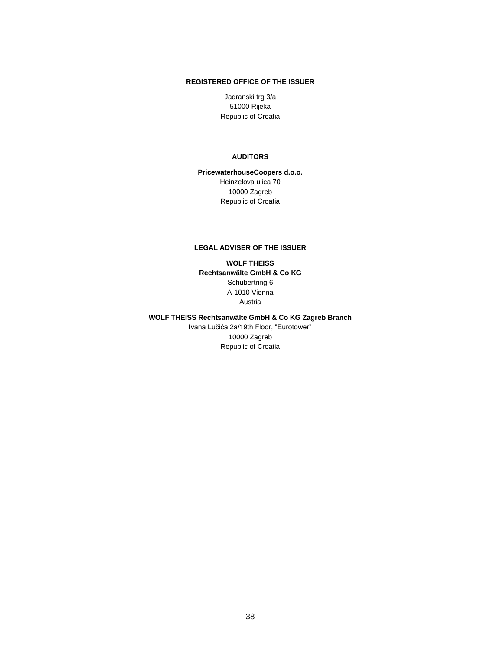### **REGISTERED OFFICE OF THE ISSUER**

Jadranski trg 3/a 51000 Rijeka Republic of Croatia

#### **AUDITORS**

**PricewaterhouseCoopers d.o.o.** Heinzelova ulica 70 10000 Zagreb Republic of Croatia

#### **LEGAL ADVISER OF THE ISSUER**

**WOLF THEISS Rechtsanwälte GmbH & Co KG** Schubertring 6 A-1010 Vienna Austria

**WOLF THEISS Rechtsanwälte GmbH & Co KG Zagreb Branch** Ivana Lučića 2a/19th Floor, "Eurotower"

10000 Zagreb Republic of Croatia